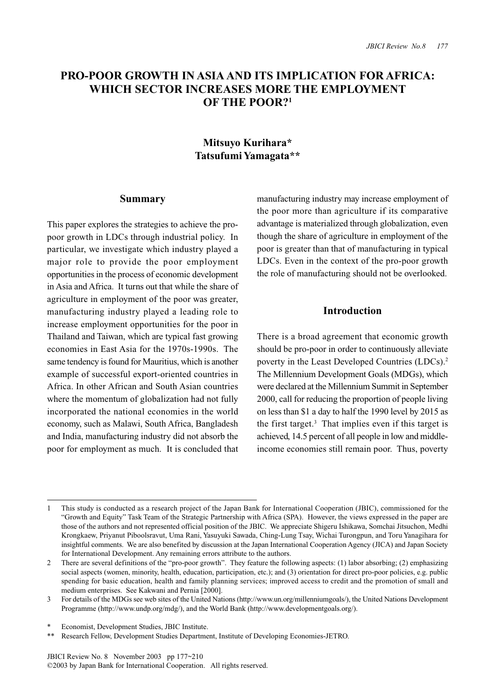# **PRO-POOR GROWTH IN ASIA AND ITS IMPLICATION FOR AFRICA: WHICH SECTOR INCREASES MORE THE EMPLOYMENT OF THE POOR?1**

# **Mitsuyo Kurihara\* Tatsufumi Yamagata\*\***

### **Summary**

This paper explores the strategies to achieve the propoor growth in LDCs through industrial policy. In particular, we investigate which industry played a major role to provide the poor employment opportunities in the process of economic development in Asia and Africa. It turns out that while the share of agriculture in employment of the poor was greater, manufacturing industry played a leading role to increase employment opportunities for the poor in Thailand and Taiwan, which are typical fast growing economies in East Asia for the 1970s-1990s. The same tendency is found for Mauritius, which is another example of successful export-oriented countries in Africa. In other African and South Asian countries where the momentum of globalization had not fully incorporated the national economies in the world economy, such as Malawi, South Africa, Bangladesh and India, manufacturing industry did not absorb the poor for employment as much. It is concluded that

manufacturing industry may increase employment of the poor more than agriculture if its comparative advantage is materialized through globalization, even though the share of agriculture in employment of the poor is greater than that of manufacturing in typical LDCs. Even in the context of the pro-poor growth the role of manufacturing should not be overlooked.

# **Introduction**

There is a broad agreement that economic growth should be pro-poor in order to continuously alleviate poverty in the Least Developed Countries (LDCs).<sup>2</sup> The Millennium Development Goals (MDGs), which were declared at the Millennium Summit in September 2000, call for reducing the proportion of people living on less than \$1 a day to half the 1990 level by 2015 as the first target.3 That implies even if this target is achieved, 14.5 percent of all people in low and middleincome economies still remain poor. Thus, poverty

<sup>1</sup> This study is conducted as a research project of the Japan Bank for International Cooperation (JBIC), commissioned for the "Growth and Equity" Task Team of the Strategic Partnership with Africa (SPA). However, the views expressed in the paper are those of the authors and not represented official position of the JBIC. We appreciate Shigeru Ishikawa, Somchai Jitsuchon, Medhi Krongkaew, Priyanut Piboolsravut, Uma Rani, Yasuyuki Sawada, Ching-Lung Tsay, Wichai Turongpun, and Toru Yanagihara for insightful comments. We are also benefited by discussion at the Japan International Cooperation Agency (JICA) and Japan Society for International Development. Any remaining errors attribute to the authors.

<sup>2</sup> There are several definitions of the "pro-poor growth". They feature the following aspects: (1) labor absorbing; (2) emphasizing social aspects (women, minority, health, education, participation, etc.); and (3) orientation for direct pro-poor policies, e.g. public spending for basic education, health and family planning services; improved access to credit and the promotion of small and medium enterprises. See Kakwani and Pernia [2000].

<sup>3</sup> For details of the MDGs see web sites of the United Nations (http://www.un.org/millenniumgoals/), the United Nations Development Programme (http://www.undp.org/mdg/), and the World Bank (http://www.developmentgoals.org/).

Economist, Development Studies, JBIC Institute.

<sup>\*\*</sup> Research Fellow, Development Studies Department, Institute of Developing Economies-JETRO.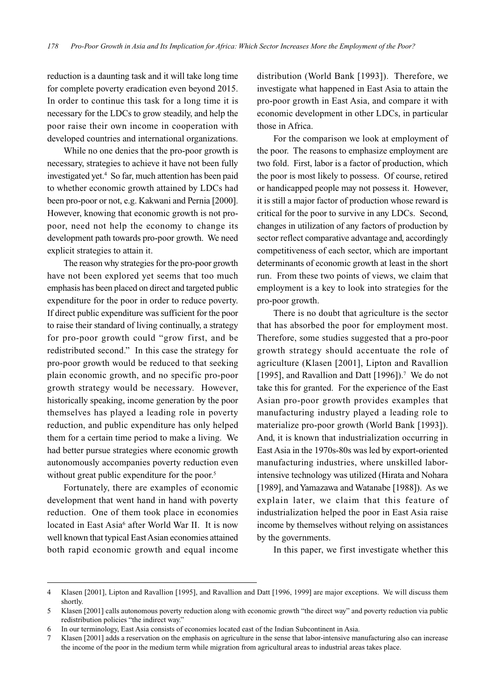reduction is a daunting task and it will take long time for complete poverty eradication even beyond 2015. In order to continue this task for a long time it is necessary for the LDCs to grow steadily, and help the poor raise their own income in cooperation with developed countries and international organizations.

While no one denies that the pro-poor growth is necessary, strategies to achieve it have not been fully investigated yet.4 So far, much attention has been paid to whether economic growth attained by LDCs had been pro-poor or not, e.g. Kakwani and Pernia [2000]. However, knowing that economic growth is not propoor, need not help the economy to change its development path towards pro-poor growth. We need explicit strategies to attain it.

The reason why strategies for the pro-poor growth have not been explored yet seems that too much emphasis has been placed on direct and targeted public expenditure for the poor in order to reduce poverty. If direct public expenditure was sufficient for the poor to raise their standard of living continually, a strategy for pro-poor growth could "grow first, and be redistributed second." In this case the strategy for pro-poor growth would be reduced to that seeking plain economic growth, and no specific pro-poor growth strategy would be necessary. However, historically speaking, income generation by the poor themselves has played a leading role in poverty reduction, and public expenditure has only helped them for a certain time period to make a living. We had better pursue strategies where economic growth autonomously accompanies poverty reduction even without great public expenditure for the poor.<sup>5</sup>

Fortunately, there are examples of economic development that went hand in hand with poverty reduction. One of them took place in economies located in East Asia<sup>6</sup> after World War II. It is now well known that typical East Asian economies attained both rapid economic growth and equal income distribution (World Bank [1993]). Therefore, we investigate what happened in East Asia to attain the pro-poor growth in East Asia, and compare it with economic development in other LDCs, in particular those in Africa.

For the comparison we look at employment of the poor. The reasons to emphasize employment are two fold. First, labor is a factor of production, which the poor is most likely to possess. Of course, retired or handicapped people may not possess it. However, it is still a major factor of production whose reward is critical for the poor to survive in any LDCs. Second, changes in utilization of any factors of production by sector reflect comparative advantage and, accordingly competitiveness of each sector, which are important determinants of economic growth at least in the short run. From these two points of views, we claim that employment is a key to look into strategies for the pro-poor growth.

There is no doubt that agriculture is the sector that has absorbed the poor for employment most. Therefore, some studies suggested that a pro-poor growth strategy should accentuate the role of agriculture (Klasen [2001], Lipton and Ravallion [1995], and Ravallion and Datt  $[1996]$ ).<sup>7</sup> We do not take this for granted. For the experience of the East Asian pro-poor growth provides examples that manufacturing industry played a leading role to materialize pro-poor growth (World Bank [1993]). And, it is known that industrialization occurring in East Asia in the 1970s-80s was led by export-oriented manufacturing industries, where unskilled laborintensive technology was utilized (Hirata and Nohara [1989], and Yamazawa and Watanabe [1988]). As we explain later, we claim that this feature of industrialization helped the poor in East Asia raise income by themselves without relying on assistances by the governments.

In this paper, we first investigate whether this

<sup>4</sup> Klasen [2001], Lipton and Ravallion [1995], and Ravallion and Datt [1996, 1999] are major exceptions. We will discuss them shortly.

<sup>5</sup> Klasen [2001] calls autonomous poverty reduction along with economic growth "the direct way" and poverty reduction via public redistribution policies "the indirect way."

<sup>6</sup> In our terminology, East Asia consists of economies located east of the Indian Subcontinent in Asia.

<sup>7</sup> Klasen [2001] adds a reservation on the emphasis on agriculture in the sense that labor-intensive manufacturing also can increase the income of the poor in the medium term while migration from agricultural areas to industrial areas takes place.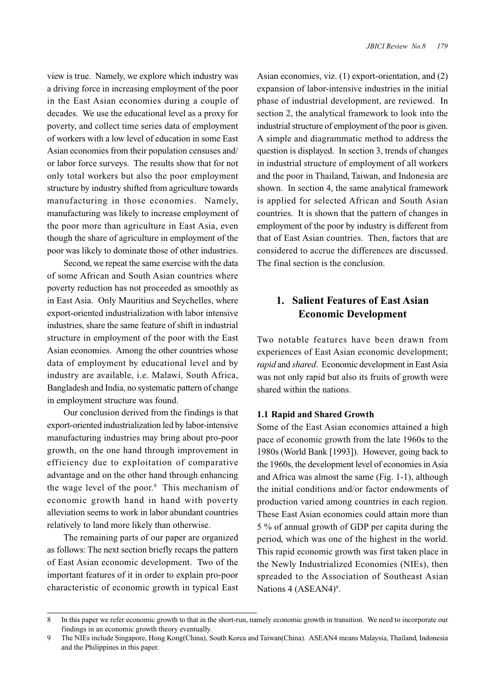view is true. Namely, we explore which industry was a driving force in increasing employment of the poor in the East Asian economies during a couple of decades. We use the educational level as a proxy for poverty, and collect time series data of employment of workers with a low level of education in some East Asian economies from their population censuses and/ or labor force surveys. The results show that for not only total workers but also the poor employment structure by industry shifted from agriculture towards manufacturing in those economies. Namely, manufacturing was likely to increase employment of the poor more than agriculture in East Asia, even though the share of agriculture in employment of the poor was likely to dominate those of other industries.

Second, we repeat the same exercise with the data of some African and South Asian countries where poverty reduction has not proceeded as smoothly as in East Asia. Only Mauritius and Seychelles, where export-oriented industrialization with labor intensive industries, share the same feature of shift in industrial structure in employment of the poor with the East Asian economies. Among the other countries whose data of employment by educational level and by industry are available, i.e. Malawi, South Africa, Bangladesh and India, no systematic pattern of change in employment structure was found.

Our conclusion derived from the findings is that export-oriented industrialization led by labor-intensive manufacturing industries may bring about pro-poor growth, on the one hand through improvement in efficiency due to exploitation of comparative advantage and on the other hand through enhancing the wage level of the poor.<sup>8</sup> This mechanism of economic growth hand in hand with poverty alleviation seems to work in labor abundant countries relatively to land more likely than otherwise.

The remaining parts of our paper are organized as follows: The next section briefly recaps the pattern of East Asian economic development. Two of the important features of it in order to explain pro-poor characteristic of economic growth in typical East

Asian economies, viz. (1) export-orientation, and (2) expansion of labor-intensive industries in the initial phase of industrial development, are reviewed. In section 2, the analytical framework to look into the industrial structure of employment of the poor is given. A simple and diagrammatic method to address the question is displayed. In section 3, trends of changes in industrial structure of employment of all workers and the poor in Thailand, Taiwan, and Indonesia are shown. In section 4, the same analytical framework is applied for selected African and South Asian countries. It is shown that the pattern of changes in employment of the poor by industry is different from that of East Asian countries. Then, factors that are considered to accrue the differences are discussed. The final section is the conclusion.

# **1. Salient Features of East Asian Economic Development**

Two notable features have been drawn from experiences of East Asian economic development; *rapid* and *shared*. Economic development in East Asia was not only rapid but also its fruits of growth were shared within the nations.

### **1.1 Rapid and Shared Growth**

Some of the East Asian economies attained a high pace of economic growth from the late 1960s to the 1980s (World Bank [1993]). However, going back to the 1960s, the development level of economies in Asia and Africa was almost the same (Fig. 1-1), although the initial conditions and/or factor endowments of production varied among countries in each region. These East Asian economies could attain more than 5 % of annual growth of GDP per capita during the period, which was one of the highest in the world. This rapid economic growth was first taken place in the Newly Industrialized Economies (NIEs), then spreaded to the Association of Southeast Asian Nations 4 (ASEAN4)<sup>9</sup>.

<sup>8</sup> In this paper we refer economic growth to that in the short-run, namely economic growth in transition. We need to incorporate our findings in an economic growth theory eventually.

<sup>9</sup> The NIEs include Singapore, Hong Kong(China), South Korea and Taiwan(China). ASEAN4 means Malaysia, Thailand, Indonesia and the Philippines in this paper.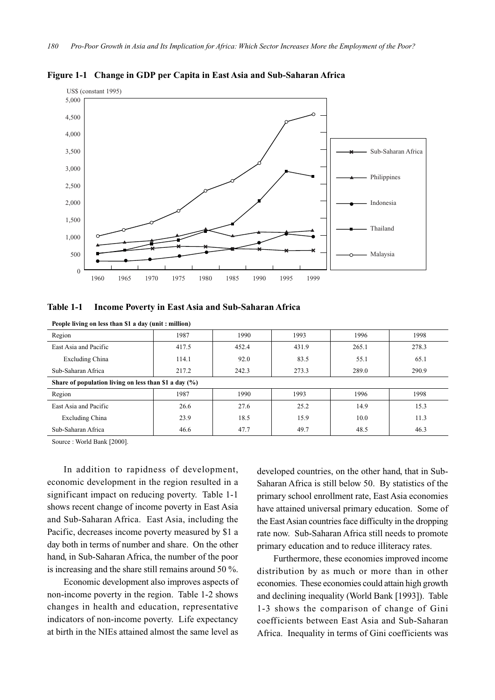

**Figure 1-1 Change in GDP per Capita in East Asia and Sub-Saharan Africa**

#### **Table 1-1 Income Poverty in East Asia and Sub-Saharan Africa**

| Region                                                   | 1987  | 1990  | 1993  | 1996  | 1998  |  |
|----------------------------------------------------------|-------|-------|-------|-------|-------|--|
| East Asia and Pacific                                    | 417.5 | 452.4 | 431.9 | 265.1 | 278.3 |  |
| Excluding China                                          | 114.1 | 92.0  | 83.5  | 55.1  | 65.1  |  |
| Sub-Saharan Africa                                       | 217.2 | 242.3 | 273.3 | 289.0 | 290.9 |  |
| Share of population living on less than \$1 a day $(\%)$ |       |       |       |       |       |  |
| Region                                                   | 1987  | 1990  | 1993  | 1996  | 1998  |  |
| East Asia and Pacific                                    | 26.6  | 27.6  | 25.2  | 14.9  | 15.3  |  |
| Excluding China                                          | 23.9  | 18.5  | 15.9  | 10.0  | 11.3  |  |
| Sub-Saharan Africa                                       | 46.6  | 47.7  | 49.7  | 48.5  | 46.3  |  |

**People living on less than \$1 a day (unit : million)**

Source : World Bank [2000].

In addition to rapidness of development, economic development in the region resulted in a significant impact on reducing poverty. Table 1-1 shows recent change of income poverty in East Asia and Sub-Saharan Africa. East Asia, including the Pacific, decreases income poverty measured by \$1 a day both in terms of number and share. On the other hand, in Sub-Saharan Africa, the number of the poor is increasing and the share still remains around 50 %.

Economic development also improves aspects of non-income poverty in the region. Table 1-2 shows changes in health and education, representative indicators of non-income poverty. Life expectancy at birth in the NIEs attained almost the same level as developed countries, on the other hand, that in Sub-Saharan Africa is still below 50. By statistics of the primary school enrollment rate, East Asia economies have attained universal primary education. Some of the East Asian countries face difficulty in the dropping rate now. Sub-Saharan Africa still needs to promote primary education and to reduce illiteracy rates.

Furthermore, these economies improved income distribution by as much or more than in other economies. These economies could attain high growth and declining inequality (World Bank [1993]). Table 1-3 shows the comparison of change of Gini coefficients between East Asia and Sub-Saharan Africa. Inequality in terms of Gini coefficients was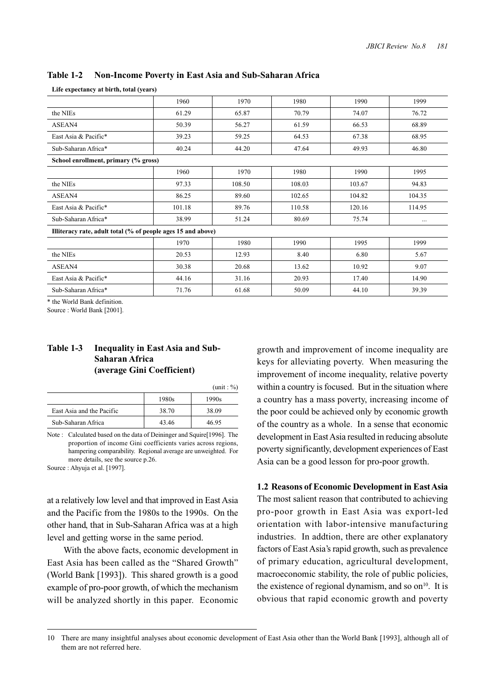| Enc capecuancy at on the total (years)                       |        |        |        |        |          |  |  |
|--------------------------------------------------------------|--------|--------|--------|--------|----------|--|--|
|                                                              | 1960   | 1970   | 1980   | 1990   | 1999     |  |  |
| the NIEs                                                     | 61.29  | 65.87  | 70.79  | 74.07  | 76.72    |  |  |
| ASEAN4                                                       | 50.39  | 56.27  | 61.59  | 66.53  | 68.89    |  |  |
| East Asia & Pacific*                                         | 39.23  | 59.25  | 64.53  | 67.38  | 68.95    |  |  |
| Sub-Saharan Africa*                                          | 40.24  | 44.20  | 47.64  | 49.93  | 46.80    |  |  |
| School enrollment, primary (% gross)                         |        |        |        |        |          |  |  |
|                                                              | 1960   | 1970   | 1980   | 1990   | 1995     |  |  |
| the NIEs                                                     | 97.33  | 108.50 | 108.03 | 103.67 | 94.83    |  |  |
| ASEAN4                                                       | 86.25  | 89.60  | 102.65 | 104.82 | 104.35   |  |  |
| East Asia & Pacific*                                         | 101.18 | 89.76  | 110.58 | 120.16 | 114.95   |  |  |
| Sub-Saharan Africa*                                          | 38.99  | 51.24  | 80.69  | 75.74  | $\cdots$ |  |  |
| Illiteracy rate, adult total (% of people ages 15 and above) |        |        |        |        |          |  |  |
|                                                              | 1970   | 1980   | 1990   | 1995   | 1999     |  |  |
| the NIEs                                                     | 20.53  | 12.93  | 8.40   | 6.80   | 5.67     |  |  |
| ASEAN4                                                       | 30.38  | 20.68  | 13.62  | 10.92  | 9.07     |  |  |
| East Asia & Pacific*                                         | 44.16  | 31.16  | 20.93  | 17.40  | 14.90    |  |  |
| Sub-Saharan Africa*                                          | 71.76  | 61.68  | 50.09  | 44.10  | 39.39    |  |  |

#### **Table 1-2 Non-Income Poverty in East Asia and Sub-Saharan Africa**

**Life expectancy at birth, total (years)**

\* the World Bank definition.

Source : World Bank [2001].

### **Table 1-3 Inequality in East Asia and Sub-Saharan Africa (average Gini Coefficient)**

|                           |       | (mit: %) |
|---------------------------|-------|----------|
|                           | 1980s | 1990s    |
| East Asia and the Pacific | 38.70 | 38.09    |
| Sub-Saharan Africa        | 43.46 | 46.95    |

Note : Calculated based on the data of Deininger and Squire[1996]. The proportion of income Gini coefficients varies across regions, hampering comparability. Regional average are unweighted. For more details, see the source p.26.

Source : Ahyuja et al. [1997].

at a relatively low level and that improved in East Asia and the Pacific from the 1980s to the 1990s. On the other hand, that in Sub-Saharan Africa was at a high level and getting worse in the same period.

With the above facts, economic development in East Asia has been called as the "Shared Growth" (World Bank [1993]). This shared growth is a good example of pro-poor growth, of which the mechanism will be analyzed shortly in this paper. Economic

growth and improvement of income inequality are keys for alleviating poverty. When measuring the improvement of income inequality, relative poverty within a country is focused. But in the situation where a country has a mass poverty, increasing income of the poor could be achieved only by economic growth of the country as a whole. In a sense that economic development in East Asia resulted in reducing absolute poverty significantly, development experiences of East Asia can be a good lesson for pro-poor growth.

**1.2 Reasons of Economic Development in East Asia** The most salient reason that contributed to achieving pro-poor growth in East Asia was export-led orientation with labor-intensive manufacturing industries. In addtion, there are other explanatory factors of East Asia's rapid growth, such as prevalence of primary education, agricultural development, macroeconomic stability, the role of public policies, the existence of regional dynamism, and so  $\text{on}^{10}$ . It is obvious that rapid economic growth and poverty

<sup>10</sup> There are many insightful analyses about economic development of East Asia other than the World Bank [1993], although all of them are not referred here.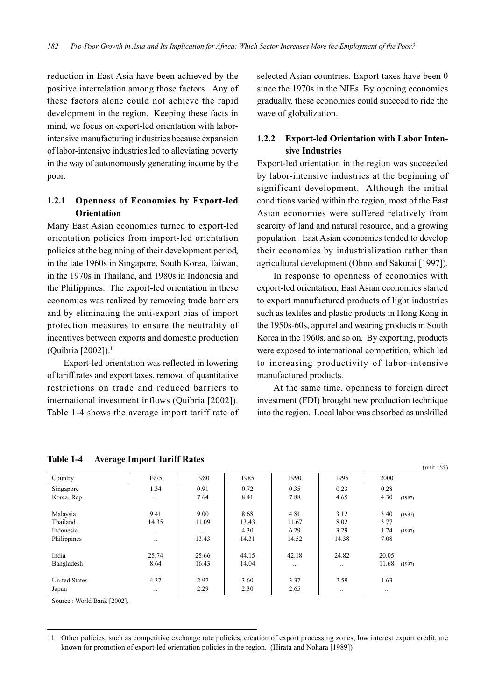reduction in East Asia have been achieved by the positive interrelation among those factors. Any of these factors alone could not achieve the rapid development in the region. Keeping these facts in mind, we focus on export-led orientation with laborintensive manufacturing industries because expansion of labor-intensive industries led to alleviating poverty in the way of autonomously generating income by the poor.

# **1.2.1 Openness of Economies by Export-led Orientation**

Many East Asian economies turned to export-led orientation policies from import-led orientation policies at the beginning of their development period, in the late 1960s in Singapore, South Korea, Taiwan, in the 1970s in Thailand, and 1980s in Indonesia and the Philippines. The export-led orientation in these economies was realized by removing trade barriers and by eliminating the anti-export bias of import protection measures to ensure the neutrality of incentives between exports and domestic production (Quibria [2002]).<sup>11</sup>

Export-led orientation was reflected in lowering of tariff rates and export taxes, removal of quantitative restrictions on trade and reduced barriers to international investment inflows (Quibria [2002]). Table 1-4 shows the average import tariff rate of selected Asian countries. Export taxes have been 0 since the 1970s in the NIEs. By opening economies gradually, these economies could succeed to ride the wave of globalization.

# **1.2.2 Export-led Orientation with Labor Intensive Industries**

Export-led orientation in the region was succeeded by labor-intensive industries at the beginning of significant development. Although the initial conditions varied within the region, most of the East Asian economies were suffered relatively from scarcity of land and natural resource, and a growing population. East Asian economies tended to develop their economies by industrialization rather than agricultural development (Ohno and Sakurai [1997]).

In response to openness of economies with export-led orientation, East Asian economies started to export manufactured products of light industries such as textiles and plastic products in Hong Kong in the 1950s-60s, apparel and wearing products in South Korea in the 1960s, and so on. By exporting, products were exposed to international competition, which led to increasing productivity of labor-intensive manufactured products.

At the same time, openness to foreign direct investment (FDI) brought new production technique into the region. Local labor was absorbed as unskilled

 $(\text{unit} : \% )$ 

| Country              | 1975      | 1980      | 1985  | 1990      | 1995      | 2000            |
|----------------------|-----------|-----------|-------|-----------|-----------|-----------------|
| Singapore            | 1.34      | 0.91      | 0.72  | 0.35      | 0.23      | 0.28            |
| Korea, Rep.          | $\ddotsc$ | 7.64      | 8.41  | 7.88      | 4.65      | 4.30<br>(1997)  |
|                      |           |           |       |           |           |                 |
| Malaysia             | 9.41      | 9.00      | 8.68  | 4.81      | 3.12      | 3.40<br>(1997)  |
| Thailand             | 14.35     | 11.09     | 13.43 | 11.67     | 8.02      | 3.77            |
| Indonesia            | $\ddotsc$ | $\ddotsc$ | 4.30  | 6.29      | 3.29      | 1.74<br>(1997)  |
| Philippines          | $\ddotsc$ | 13.43     | 14.31 | 14.52     | 14.38     | 7.08            |
|                      |           |           |       |           |           |                 |
| India                | 25.74     | 25.66     | 44.15 | 42.18     | 24.82     | 20.05           |
| Bangladesh           | 8.64      | 16.43     | 14.04 | $\ddotsc$ | $\ddotsc$ | 11.68<br>(1997) |
|                      |           |           |       |           |           |                 |
| <b>United States</b> | 4.37      | 2.97      | 3.60  | 3.37      | 2.59      | 1.63            |
| Japan                |           | 2.29      | 2.30  | 2.65      | $\ddotsc$ | $\ddotsc$       |

#### **Table 1-4 Average Import Tariff Rates**

Source : World Bank [2002].

<sup>11</sup> Other policies, such as competitive exchange rate policies, creation of export processing zones, low interest export credit, are known for promotion of export-led orientation policies in the region. (Hirata and Nohara [1989])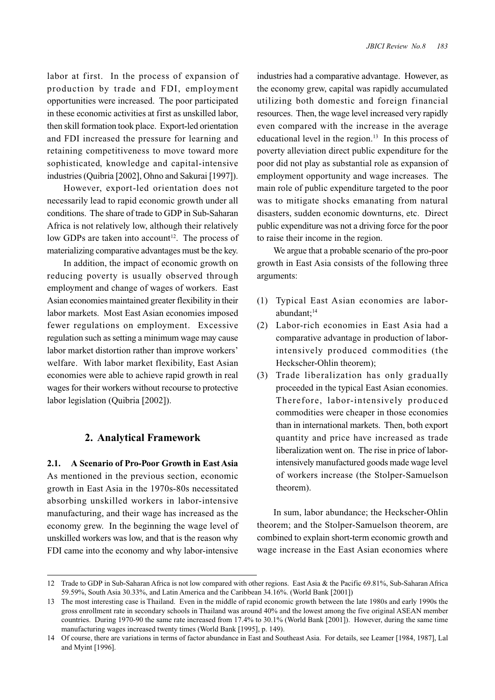labor at first. In the process of expansion of production by trade and FDI, employment opportunities were increased. The poor participated in these economic activities at first as unskilled labor, then skill formation took place. Export-led orientation and FDI increased the pressure for learning and retaining competitiveness to move toward more sophisticated, knowledge and capital-intensive industries (Quibria [2002], Ohno and Sakurai [1997]).

However, export-led orientation does not necessarily lead to rapid economic growth under all conditions. The share of trade to GDP in Sub-Saharan Africa is not relatively low, although their relatively low GDPs are taken into account<sup>12</sup>. The process of materializing comparative advantages must be the key.

In addition, the impact of economic growth on reducing poverty is usually observed through employment and change of wages of workers. East Asian economies maintained greater flexibility in their labor markets. Most East Asian economies imposed fewer regulations on employment. Excessive regulation such as setting a minimum wage may cause labor market distortion rather than improve workers' welfare. With labor market flexibility, East Asian economies were able to achieve rapid growth in real wages for their workers without recourse to protective labor legislation (Quibria [2002]).

#### **2. Analytical Framework**

**2.1. A Scenario of Pro-Poor Growth in East Asia** As mentioned in the previous section, economic growth in East Asia in the 1970s-80s necessitated absorbing unskilled workers in labor-intensive manufacturing, and their wage has increased as the economy grew. In the beginning the wage level of unskilled workers was low, and that is the reason why FDI came into the economy and why labor-intensive

industries had a comparative advantage. However, as the economy grew, capital was rapidly accumulated utilizing both domestic and foreign financial resources. Then, the wage level increased very rapidly even compared with the increase in the average educational level in the region. $13$  In this process of poverty alleviation direct public expenditure for the poor did not play as substantial role as expansion of employment opportunity and wage increases. The main role of public expenditure targeted to the poor was to mitigate shocks emanating from natural disasters, sudden economic downturns, etc. Direct public expenditure was not a driving force for the poor to raise their income in the region.

We argue that a probable scenario of the pro-poor growth in East Asia consists of the following three arguments:

- (1) Typical East Asian economies are laborabundant;14
- (2) Labor-rich economies in East Asia had a comparative advantage in production of laborintensively produced commodities (the Heckscher-Ohlin theorem);
- (3) Trade liberalization has only gradually proceeded in the typical East Asian economies. Therefore, labor-intensively produced commodities were cheaper in those economies than in international markets. Then, both export quantity and price have increased as trade liberalization went on. The rise in price of laborintensively manufactured goods made wage level of workers increase (the Stolper-Samuelson theorem).

In sum, labor abundance; the Heckscher-Ohlin theorem; and the Stolper-Samuelson theorem, are combined to explain short-term economic growth and wage increase in the East Asian economies where

<sup>12</sup> Trade to GDP in Sub-Saharan Africa is not low compared with other regions. East Asia & the Pacific 69.81%, Sub-Saharan Africa 59.59%, South Asia 30.33%, and Latin America and the Caribbean 34.16%. (World Bank [2001])

<sup>13</sup> The most interesting case is Thailand. Even in the middle of rapid economic growth between the late 1980s and early 1990s the gross enrollment rate in secondary schools in Thailand was around 40% and the lowest among the five original ASEAN member countries. During 1970-90 the same rate increased from 17.4% to 30.1% (World Bank [2001]). However, during the same time manufacturing wages increased twenty times (World Bank [1995], p. 149).

<sup>14</sup> Of course, there are variations in terms of factor abundance in East and Southeast Asia. For details, see Leamer [1984, 1987], Lal and Myint [1996].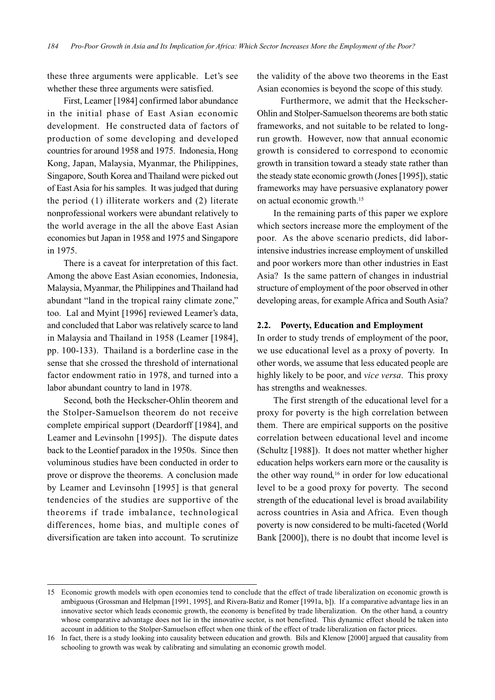these three arguments were applicable. Let's see whether these three arguments were satisfied.

First, Leamer [1984] confirmed labor abundance in the initial phase of East Asian economic development. He constructed data of factors of production of some developing and developed countries for around 1958 and 1975. Indonesia, Hong Kong, Japan, Malaysia, Myanmar, the Philippines, Singapore, South Korea and Thailand were picked out of East Asia for his samples. It was judged that during the period (1) illiterate workers and (2) literate nonprofessional workers were abundant relatively to the world average in the all the above East Asian economies but Japan in 1958 and 1975 and Singapore in 1975.

There is a caveat for interpretation of this fact. Among the above East Asian economies, Indonesia, Malaysia, Myanmar, the Philippines and Thailand had abundant "land in the tropical rainy climate zone," too. Lal and Myint [1996] reviewed Leamer's data, and concluded that Labor was relatively scarce to land in Malaysia and Thailand in 1958 (Leamer [1984], pp. 100-133). Thailand is a borderline case in the sense that she crossed the threshold of international factor endowment ratio in 1978, and turned into a labor abundant country to land in 1978.

Second, both the Heckscher-Ohlin theorem and the Stolper-Samuelson theorem do not receive complete empirical support (Deardorff [1984], and Leamer and Levinsohn [1995]). The dispute dates back to the Leontief paradox in the 1950s. Since then voluminous studies have been conducted in order to prove or disprove the theorems. A conclusion made by Leamer and Levinsohn [1995] is that general tendencies of the studies are supportive of the theorems if trade imbalance, technological differences, home bias, and multiple cones of diversification are taken into account. To scrutinize

the validity of the above two theorems in the East Asian economies is beyond the scope of this study.

Furthermore, we admit that the Heckscher-Ohlin and Stolper-Samuelson theorems are both static frameworks, and not suitable to be related to longrun growth. However, now that annual economic growth is considered to correspond to economic growth in transition toward a steady state rather than the steady state economic growth (Jones [1995]), static frameworks may have persuasive explanatory power on actual economic growth.15

In the remaining parts of this paper we explore which sectors increase more the employment of the poor. As the above scenario predicts, did laborintensive industries increase employment of unskilled and poor workers more than other industries in East Asia? Is the same pattern of changes in industrial structure of employment of the poor observed in other developing areas, for example Africa and South Asia?

#### **2.2. Poverty, Education and Employment**

In order to study trends of employment of the poor, we use educational level as a proxy of poverty. In other words, we assume that less educated people are highly likely to be poor, and *vice versa*. This proxy has strengths and weaknesses.

The first strength of the educational level for a proxy for poverty is the high correlation between them. There are empirical supports on the positive correlation between educational level and income (Schultz [1988]). It does not matter whether higher education helps workers earn more or the causality is the other way round, $16$  in order for low educational level to be a good proxy for poverty. The second strength of the educational level is broad availability across countries in Asia and Africa. Even though poverty is now considered to be multi-faceted (World Bank [2000]), there is no doubt that income level is

<sup>15</sup> Economic growth models with open economies tend to conclude that the effect of trade liberalization on economic growth is ambiguous (Grossman and Helpman [1991, 1995], and Rivera-Batiz and Romer [1991a, b]). If a comparative advantage lies in an innovative sector which leads economic growth, the economy is benefited by trade liberalization. On the other hand, a country whose comparative advantage does not lie in the innovative sector, is not benefited. This dynamic effect should be taken into account in addition to the Stolper-Samuelson effect when one think of the effect of trade liberalization on factor prices.

<sup>16</sup> In fact, there is a study looking into causality between education and growth. Bils and Klenow [2000] argued that causality from schooling to growth was weak by calibrating and simulating an economic growth model.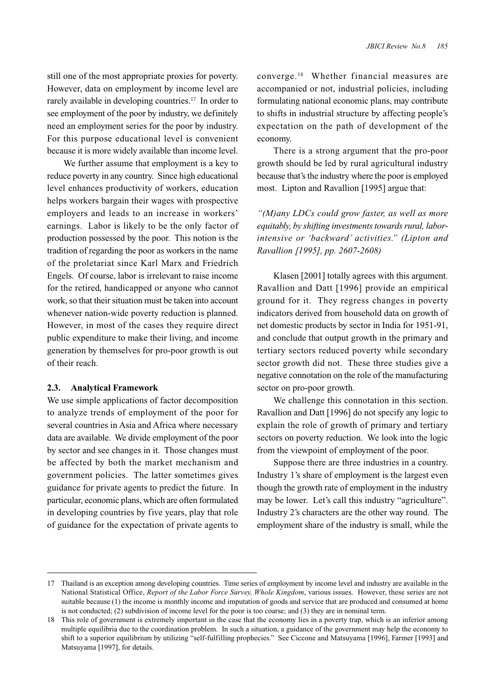still one of the most appropriate proxies for poverty. However, data on employment by income level are rarely available in developing countries.<sup>17</sup> In order to see employment of the poor by industry, we definitely need an employment series for the poor by industry. For this purpose educational level is convenient because it is more widely available than income level.

We further assume that employment is a key to reduce poverty in any country. Since high educational level enhances productivity of workers, education helps workers bargain their wages with prospective employers and leads to an increase in workers' earnings. Labor is likely to be the only factor of production possessed by the poor. This notion is the tradition of regarding the poor as workers in the name of the proletariat since Karl Marx and Friedrich Engels. Of course, labor is irrelevant to raise income for the retired, handicapped or anyone who cannot work, so that their situation must be taken into account whenever nation-wide poverty reduction is planned. However, in most of the cases they require direct public expenditure to make their living, and income generation by themselves for pro-poor growth is out of their reach.

### **2.3. Analytical Framework**

We use simple applications of factor decomposition to analyze trends of employment of the poor for several countries in Asia and Africa where necessary data are available. We divide employment of the poor by sector and see changes in it. Those changes must be affected by both the market mechanism and government policies. The latter sometimes gives guidance for private agents to predict the future. In particular, economic plans, which are often formulated in developing countries by five years, play that role of guidance for the expectation of private agents to

converge.18 Whether financial measures are accompanied or not, industrial policies, including formulating national economic plans, may contribute to shifts in industrial structure by affecting people's expectation on the path of development of the economy.

There is a strong argument that the pro-poor growth should be led by rural agricultural industry because that's the industry where the poor is employed most. Lipton and Ravallion [1995] argue that:

*"(M)any LDCs could grow faster, as well as more equitably, by shifting investments towards rural, laborintensive or 'backward' activities." (Lipton and Ravallion [1995], pp. 2607-2608)*

Klasen [2001] totally agrees with this argument. Ravallion and Datt [1996] provide an empirical ground for it. They regress changes in poverty indicators derived from household data on growth of net domestic products by sector in India for 1951-91, and conclude that output growth in the primary and tertiary sectors reduced poverty while secondary sector growth did not. These three studies give a negative connotation on the role of the manufacturing sector on pro-poor growth.

We challenge this connotation in this section. Ravallion and Datt [1996] do not specify any logic to explain the role of growth of primary and tertiary sectors on poverty reduction. We look into the logic from the viewpoint of employment of the poor.

Suppose there are three industries in a country. Industry 1's share of employment is the largest even though the growth rate of employment in the industry may be lower. Let's call this industry "agriculture". Industry 2's characters are the other way round. The employment share of the industry is small, while the

<sup>17</sup> Thailand is an exception among developing countries. Time series of employment by income level and industry are available in the National Statistical Office, *Report of the Labor Force Survey, Whole Kingdom*, various issues. However, these series are not suitable because (1) the income is monthly income and imputation of goods and service that are produced and consumed at home is not conducted; (2) subdivision of income level for the poor is too coarse; and (3) they are in nominal term.

<sup>18</sup> This role of government is extremely important in the case that the economy lies in a poverty trap, which is an inferior among multiple equilibria due to the coordination problem. In such a situation, a guidance of the government may help the economy to shift to a superior equilibrium by utilizing "self-fulfilling prophecies." See Ciccone and Matsuyama [1996], Farmer [1993] and Matsuyama [1997], for details.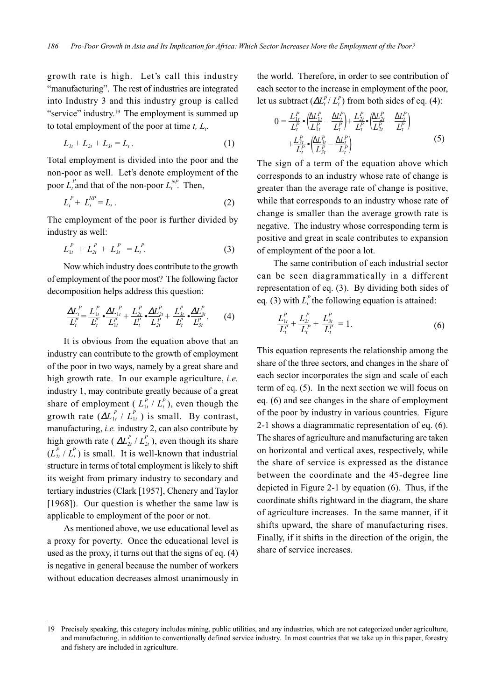growth rate is high. Let's call this industry "manufacturing". The rest of industries are integrated into Industry 3 and this industry group is called "service" industry.<sup>19</sup> The employment is summed up to total employment of the poor at time  $t$ ,  $L_t$ .

$$
L_{1t} + L_{2t} + L_{3t} = L_t.
$$
 (1)

Total employment is divided into the poor and the non-poor as well. Let's denote employment of the poor  $L_t^P$  and that of the non-poor  $L_t^{NP}$ . Then,

$$
L_t^P + L_t^{NP} = L_t \,.
$$
 (2)

The employment of the poor is further divided by industry as well:

$$
L_{1t}^P + L_{2t}^P + L_{3t}^P = L_t^P. \tag{3}
$$

Now which industry does contribute to the growth of employment of the poor most? The following factor decomposition helps address this question:

$$
\frac{\Delta L_f^P}{L_t^P} = \frac{L_{1t}^P}{L_t^P} \bullet \frac{\Delta L_{1t}^P}{L_{1t}^P} + \frac{L_{2t}^P}{L_t^P} \bullet \frac{\Delta L_{2t}^P}{L_{2t}^P} + \frac{L_{3t}^P}{L_t^P} \bullet \frac{\Delta L_{3t}^P}{L_{3t}^P}. \tag{4}
$$

It is obvious from the equation above that an industry can contribute to the growth of employment of the poor in two ways, namely by a great share and high growth rate. In our example agriculture, *i.e.* industry 1, may contribute greatly because of a great share of employment ( $L_{1t}^P / L_t^P$ ), even though the growth rate  $(\Delta L_{1t}^P / L_{1t}^P)$  is small. By contrast, manufacturing, *i.e.* industry 2, can also contribute by high growth rate ( $\Delta L_{2t}^P / L_{2t}^P$ ), even though its share  $(L_{2t}^P / L_t^P)$  is small. It is well-known that industrial structure in terms of total employment is likely to shift its weight from primary industry to secondary and tertiary industries (Clark [1957], Chenery and Taylor [1968]). Our question is whether the same law is applicable to employment of the poor or not.

As mentioned above, we use educational level as a proxy for poverty. Once the educational level is used as the proxy, it turns out that the signs of eq. (4) is negative in general because the number of workers without education decreases almost unanimously in the world. Therefore, in order to see contribution of each sector to the increase in employment of the poor, let us subtract  $(\Delta L_t^P / L_t^P)$  from both sides of eq. (4):

$$
0 = \frac{L_{1t}^{P}}{L_{t}^{P}} \cdot \left( \frac{\Delta L_{1t}^{P}}{L_{1t}^{P}} - \frac{\Delta L_{t}^{P}}{L_{t}^{P}} \right) + \frac{L_{2t}^{P}}{L_{t}^{P}} \cdot \left( \frac{\Delta L_{2t}^{P}}{L_{2t}^{P}} - \frac{\Delta L_{t}^{P}}{L_{t}^{P}} \right) + \frac{L_{3t}^{P}}{L_{t}^{P}} \cdot \left( \frac{\Delta L_{3t}^{P}}{L_{3t}^{P}} - \frac{\Delta L_{t}^{P}}{L_{t}^{P}} \right)
$$
(5)

The sign of a term of the equation above which corresponds to an industry whose rate of change is greater than the average rate of change is positive, while that corresponds to an industry whose rate of change is smaller than the average growth rate is negative. The industry whose corresponding term is positive and great in scale contributes to expansion of employment of the poor a lot.

The same contribution of each industrial sector can be seen diagrammatically in a different representation of eq. (3). By dividing both sides of eq. (3) with  $L_t^P$  the following equation is attained:

$$
\frac{L_{1t}^P}{L_t^P} + \frac{L_{2t}^P}{L_t^P} + \frac{L_{3t}^P}{L_t^P} = 1.
$$
\n(6)

This equation represents the relationship among the share of the three sectors, and changes in the share of each sector incorporates the sign and scale of each term of eq. (5). In the next section we will focus on eq. (6) and see changes in the share of employment of the poor by industry in various countries. Figure 2-1 shows a diagrammatic representation of eq. (6). The shares of agriculture and manufacturing are taken on horizontal and vertical axes, respectively, while the share of service is expressed as the distance between the coordinate and the 45-degree line depicted in Figure 2-1 by equation (6). Thus, if the coordinate shifts rightward in the diagram, the share of agriculture increases. In the same manner, if it shifts upward, the share of manufacturing rises. Finally, if it shifts in the direction of the origin, the share of service increases.

<sup>19</sup> Precisely speaking, this category includes mining, public utilities, and any industries, which are not categorized under agriculture, and manufacturing, in addition to conventionally defined service industry. In most countries that we take up in this paper, forestry and fishery are included in agriculture.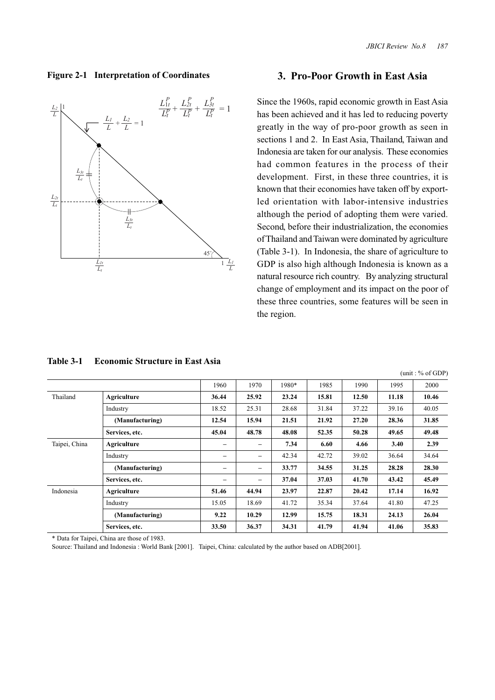$(\text{unit} : 0 \land \text{off} \cap \mathbb{D})$ 

#### **Figure 2-1 Interpretation of Coordinates**



# **3. Pro-Poor Growth in East Asia**

Since the 1960s, rapid economic growth in East Asia has been achieved and it has led to reducing poverty greatly in the way of pro-poor growth as seen in sections 1 and 2. In East Asia, Thailand, Taiwan and Indonesia are taken for our analysis. These economies had common features in the process of their development. First, in these three countries, it is known that their economies have taken off by exportled orientation with labor-intensive industries although the period of adopting them were varied. Second, before their industrialization, the economies of Thailand and Taiwan were dominated by agriculture (Table 3-1). In Indonesia, the share of agriculture to GDP is also high although Indonesia is known as a natural resource rich country. By analyzing structural change of employment and its impact on the poor of these three countries, some features will be seen in the region.

|               |                 |                          |                          |       |       |       |       | $1$ umu. 70 01 ODT |
|---------------|-----------------|--------------------------|--------------------------|-------|-------|-------|-------|--------------------|
|               |                 | 1960                     | 1970                     | 1980* | 1985  | 1990  | 1995  | 2000               |
| Thailand      | Agriculture     | 36.44                    | 25.92                    | 23.24 | 15.81 | 12.50 | 11.18 | 10.46              |
|               | Industry        | 18.52                    | 25.31                    | 28.68 | 31.84 | 37.22 | 39.16 | 40.05              |
|               | (Manufacturing) | 12.54                    | 15.94                    | 21.51 | 21.92 | 27.20 | 28.36 | 31.85              |
|               | Services, etc.  | 45.04                    | 48.78                    | 48.08 | 52.35 | 50.28 | 49.65 | 49.48              |
| Taipei, China | Agriculture     |                          | -                        | 7.34  | 6.60  | 4.66  | 3.40  | 2.39               |
|               | Industry        | $\overline{\phantom{0}}$ | $\overline{\phantom{0}}$ | 42.34 | 42.72 | 39.02 | 36.64 | 34.64              |
|               | (Manufacturing) | $\overline{\phantom{0}}$ | -                        | 33.77 | 34.55 | 31.25 | 28.28 | 28.30              |
|               | Services, etc.  | -                        | -                        | 37.04 | 37.03 | 41.70 | 43.42 | 45.49              |
| Indonesia     | Agriculture     | 51.46                    | 44.94                    | 23.97 | 22.87 | 20.42 | 17.14 | 16.92              |
|               | Industry        | 15.05                    | 18.69                    | 41.72 | 35.34 | 37.64 | 41.80 | 47.25              |
|               | (Manufacturing) | 9.22                     | 10.29                    | 12.99 | 15.75 | 18.31 | 24.13 | 26.04              |
|               | Services, etc.  | 33.50                    | 36.37                    | 34.31 | 41.79 | 41.94 | 41.06 | 35.83              |

#### **Table 3-1 Economic Structure in East Asia**

\* Data for Taipei, China are those of 1983.

Source: Thailand and Indonesia : World Bank [2001]. Taipei, China: calculated by the author based on ADB[2001].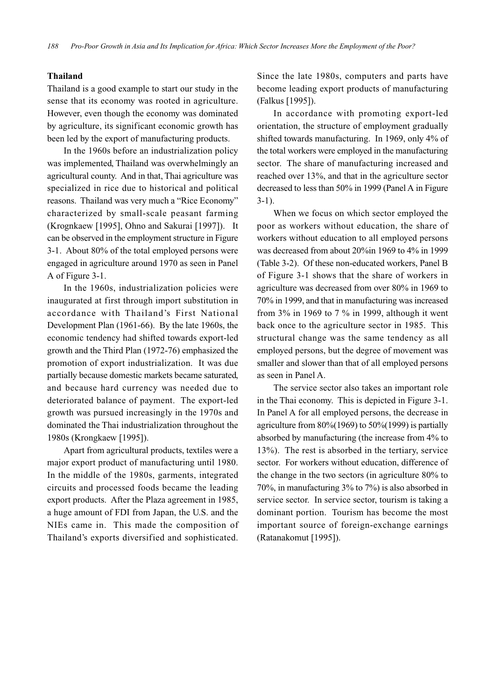#### **Thailand**

Thailand is a good example to start our study in the sense that its economy was rooted in agriculture. However, even though the economy was dominated by agriculture, its significant economic growth has been led by the export of manufacturing products.

In the 1960s before an industrialization policy was implemented, Thailand was overwhelmingly an agricultural county. And in that, Thai agriculture was specialized in rice due to historical and political reasons. Thailand was very much a "Rice Economy" characterized by small-scale peasant farming (Krognkaew [1995], Ohno and Sakurai [1997]). It can be observed in the employment structure in Figure 3-1. About 80% of the total employed persons were engaged in agriculture around 1970 as seen in Panel A of Figure 3-1.

In the 1960s, industrialization policies were inaugurated at first through import substitution in accordance with Thailand's First National Development Plan (1961-66). By the late 1960s, the economic tendency had shifted towards export-led growth and the Third Plan (1972-76) emphasized the promotion of export industrialization. It was due partially because domestic markets became saturated, and because hard currency was needed due to deteriorated balance of payment. The export-led growth was pursued increasingly in the 1970s and dominated the Thai industrialization throughout the 1980s (Krongkaew [1995]).

Apart from agricultural products, textiles were a major export product of manufacturing until 1980. In the middle of the 1980s, garments, integrated circuits and processed foods became the leading export products. After the Plaza agreement in 1985, a huge amount of FDI from Japan, the U.S. and the NIEs came in. This made the composition of Thailand's exports diversified and sophisticated.

Since the late 1980s, computers and parts have become leading export products of manufacturing (Falkus [1995]).

In accordance with promoting export-led orientation, the structure of employment gradually shifted towards manufacturing. In 1969, only 4% of the total workers were employed in the manufacturing sector. The share of manufacturing increased and reached over 13%, and that in the agriculture sector decreased to less than 50% in 1999 (Panel A in Figure 3-1).

When we focus on which sector employed the poor as workers without education, the share of workers without education to all employed persons was decreased from about 20%in 1969 to 4% in 1999 (Table 3-2). Of these non-educated workers, Panel B of Figure 3-1 shows that the share of workers in agriculture was decreased from over 80% in 1969 to 70% in 1999, and that in manufacturing was increased from 3% in 1969 to 7 % in 1999, although it went back once to the agriculture sector in 1985. This structural change was the same tendency as all employed persons, but the degree of movement was smaller and slower than that of all employed persons as seen in Panel A.

The service sector also takes an important role in the Thai economy. This is depicted in Figure 3-1. In Panel A for all employed persons, the decrease in agriculture from 80%(1969) to 50%(1999) is partially absorbed by manufacturing (the increase from 4% to 13%). The rest is absorbed in the tertiary, service sector. For workers without education, difference of the change in the two sectors (in agriculture 80% to 70%, in manufacturing 3% to 7%) is also absorbed in service sector. In service sector, tourism is taking a dominant portion. Tourism has become the most important source of foreign-exchange earnings (Ratanakomut [1995]).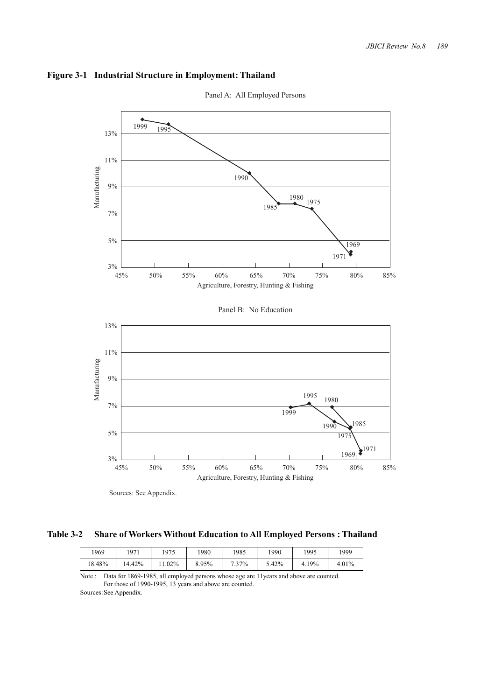



Panel A: All Employed Persons

Sources: See Appendix.

**Table 3-2 Share of Workers Without Education to All Employed Persons : Thailand**

| 1969   | 1971   | 1975      | 1980  | 1985  | 1990  | 1995  | 1999  |
|--------|--------|-----------|-------|-------|-------|-------|-------|
| 18.48% | 14.42% | $11.02\%$ | 8.95% | 7.37% | 5.42% | 4.19% | 4.01% |

Note : Data for 1869-1985, all employed persons whose age are 11years and above are counted. For those of 1990-1995, 13 years and above are counted. Sources: See Appendix.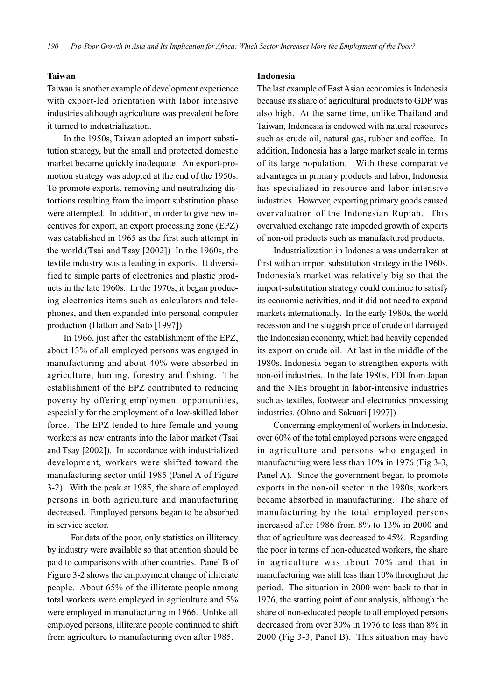#### **Taiwan**

Taiwan is another example of development experience with export-led orientation with labor intensive industries although agriculture was prevalent before it turned to industrialization.

In the 1950s, Taiwan adopted an import substitution strategy, but the small and protected domestic market became quickly inadequate. An export-promotion strategy was adopted at the end of the 1950s. To promote exports, removing and neutralizing distortions resulting from the import substitution phase were attempted. In addition, in order to give new incentives for export, an export processing zone (EPZ) was established in 1965 as the first such attempt in the world.(Tsai and Tsay [2002]) In the 1960s, the textile industry was a leading in exports. It diversified to simple parts of electronics and plastic products in the late 1960s. In the 1970s, it began producing electronics items such as calculators and telephones, and then expanded into personal computer production (Hattori and Sato [1997])

In 1966, just after the establishment of the EPZ, about 13% of all employed persons was engaged in manufacturing and about 40% were absorbed in agriculture, hunting, forestry and fishing. The establishment of the EPZ contributed to reducing poverty by offering employment opportunities, especially for the employment of a low-skilled labor force. The EPZ tended to hire female and young workers as new entrants into the labor market (Tsai and Tsay [2002]). In accordance with industrialized development, workers were shifted toward the manufacturing sector until 1985 (Panel A of Figure 3-2). With the peak at 1985, the share of employed persons in both agriculture and manufacturing decreased. Employed persons began to be absorbed in service sector.

For data of the poor, only statistics on illiteracy by industry were available so that attention should be paid to comparisons with other countries. Panel B of Figure 3-2 shows the employment change of illiterate people. About 65% of the illiterate people among total workers were employed in agriculture and 5% were employed in manufacturing in 1966. Unlike all employed persons, illiterate people continued to shift from agriculture to manufacturing even after 1985.

#### **Indonesia**

The last example of East Asian economies is Indonesia because its share of agricultural products to GDP was also high. At the same time, unlike Thailand and Taiwan, Indonesia is endowed with natural resources such as crude oil, natural gas, rubber and coffee. In addition, Indonesia has a large market scale in terms of its large population. With these comparative advantages in primary products and labor, Indonesia has specialized in resource and labor intensive industries. However, exporting primary goods caused overvaluation of the Indonesian Rupiah. This overvalued exchange rate impeded growth of exports of non-oil products such as manufactured products.

Industrialization in Indonesia was undertaken at first with an import substitution strategy in the 1960s. Indonesia's market was relatively big so that the import-substitution strategy could continue to satisfy its economic activities, and it did not need to expand markets internationally. In the early 1980s, the world recession and the sluggish price of crude oil damaged the Indonesian economy, which had heavily depended its export on crude oil. At last in the middle of the 1980s, Indonesia began to strengthen exports with non-oil industries. In the late 1980s, FDI from Japan and the NIEs brought in labor-intensive industries such as textiles, footwear and electronics processing industries. (Ohno and Sakuari [1997])

Concerning employment of workers in Indonesia, over 60% of the total employed persons were engaged in agriculture and persons who engaged in manufacturing were less than 10% in 1976 (Fig 3-3, Panel A). Since the government began to promote exports in the non-oil sector in the 1980s, workers became absorbed in manufacturing. The share of manufacturing by the total employed persons increased after 1986 from 8% to 13% in 2000 and that of agriculture was decreased to 45%. Regarding the poor in terms of non-educated workers, the share in agriculture was about 70% and that in manufacturing was still less than 10% throughout the period. The situation in 2000 went back to that in 1976, the starting point of our analysis, although the share of non-educated people to all employed persons decreased from over 30% in 1976 to less than 8% in 2000 (Fig 3-3, Panel B). This situation may have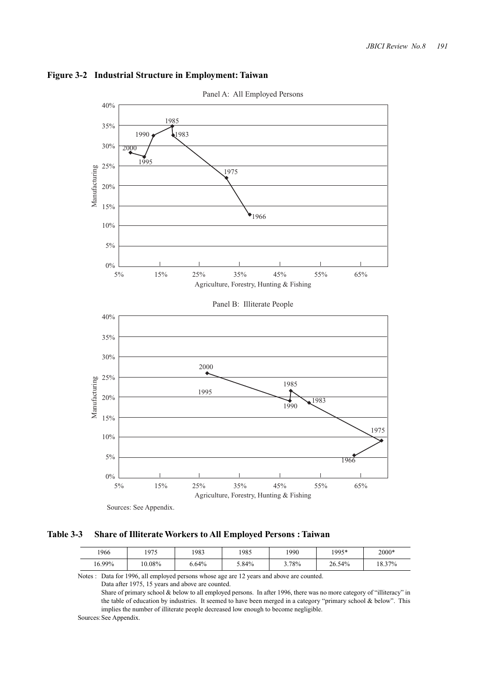

### **Figure 3-2 Industrial Structure in Employment: Taiwan**

**Table 3-3 Share of Illiterate Workers to All Employed Persons : Taiwan**

| 1966   | 1975   | 1983     | 1985  | 1990  | 1995*  | 2000*  |
|--------|--------|----------|-------|-------|--------|--------|
| 16.99% | 10.08% | $0.64\%$ | 5.84% | 3.78% | 26.54% | 18.37% |

Notes : Data for 1996, all employed persons whose age are 12 years and above are counted.

Data after 1975, 15 years and above are counted.

Share of primary school  $&$  below to all employed persons. In after 1996, there was no more category of "illiteracy" in the table of education by industries. It seemed to have been merged in a category "primary school & below". This implies the number of illiterate people decreased low enough to become negligible.

Sources: See Appendix.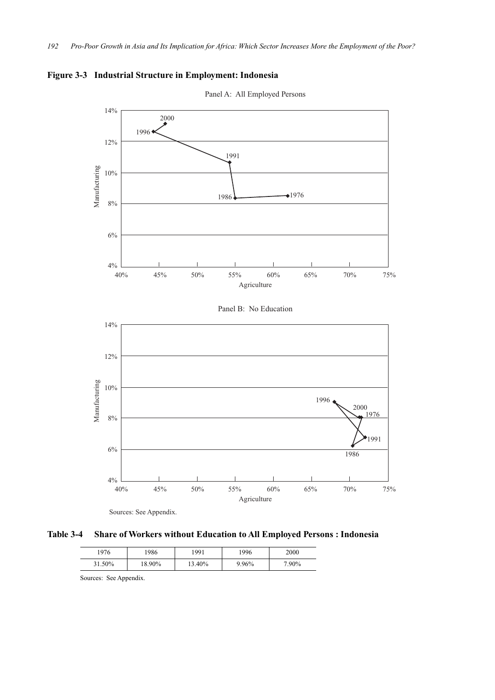



**Table 3-4 Share of Workers without Education to All Employed Persons : Indonesia**

| 976    | 986    | 1991   | 1996  | 2000  |
|--------|--------|--------|-------|-------|
| 31.50% | 18.90% | 13.40% | 9.96% | 7.90% |

Sources: See Appendix.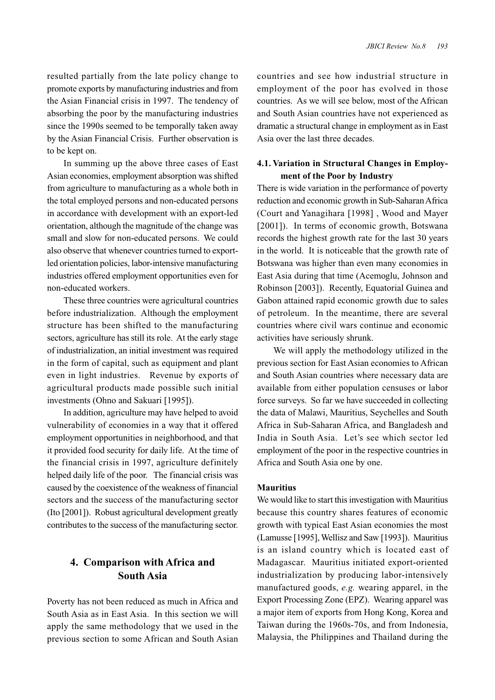resulted partially from the late policy change to promote exports by manufacturing industries and from the Asian Financial crisis in 1997. The tendency of absorbing the poor by the manufacturing industries since the 1990s seemed to be temporally taken away by the Asian Financial Crisis. Further observation is to be kept on.

In summing up the above three cases of East Asian economies, employment absorption was shifted from agriculture to manufacturing as a whole both in the total employed persons and non-educated persons in accordance with development with an export-led orientation, although the magnitude of the change was small and slow for non-educated persons. We could also observe that whenever countries turned to exportled orientation policies, labor-intensive manufacturing industries offered employment opportunities even for non-educated workers.

These three countries were agricultural countries before industrialization. Although the employment structure has been shifted to the manufacturing sectors, agriculture has still its role. At the early stage of industrialization, an initial investment was required in the form of capital, such as equipment and plant even in light industries. Revenue by exports of agricultural products made possible such initial investments (Ohno and Sakuari [1995]).

In addition, agriculture may have helped to avoid vulnerability of economies in a way that it offered employment opportunities in neighborhood, and that it provided food security for daily life. At the time of the financial crisis in 1997, agriculture definitely helped daily life of the poor. The financial crisis was caused by the coexistence of the weakness of financial sectors and the success of the manufacturing sector (Ito [2001]). Robust agricultural development greatly contributes to the success of the manufacturing sector.

# **4. Comparison with Africa and South Asia**

Poverty has not been reduced as much in Africa and South Asia as in East Asia. In this section we will apply the same methodology that we used in the previous section to some African and South Asian countries and see how industrial structure in employment of the poor has evolved in those countries. As we will see below, most of the African and South Asian countries have not experienced as dramatic a structural change in employment as in East Asia over the last three decades.

# **4.1. Variation in Structural Changes in Employment of the Poor by Industry**

There is wide variation in the performance of poverty reduction and economic growth in Sub-Saharan Africa (Court and Yanagihara [1998] , Wood and Mayer [2001]). In terms of economic growth, Botswana records the highest growth rate for the last 30 years in the world. It is noticeable that the growth rate of Botswana was higher than even many economies in East Asia during that time (Acemoglu, Johnson and Robinson [2003]). Recently, Equatorial Guinea and Gabon attained rapid economic growth due to sales of petroleum. In the meantime, there are several countries where civil wars continue and economic activities have seriously shrunk.

We will apply the methodology utilized in the previous section for East Asian economies to African and South Asian countries where necessary data are available from either population censuses or labor force surveys. So far we have succeeded in collecting the data of Malawi, Mauritius, Seychelles and South Africa in Sub-Saharan Africa, and Bangladesh and India in South Asia. Let's see which sector led employment of the poor in the respective countries in Africa and South Asia one by one.

#### **Mauritius**

We would like to start this investigation with Mauritius because this country shares features of economic growth with typical East Asian economies the most (Lamusse [1995], Wellisz and Saw [1993]). Mauritius is an island country which is located east of Madagascar. Mauritius initiated export-oriented industrialization by producing labor-intensively manufactured goods, *e.g.* wearing apparel, in the Export Processing Zone (EPZ). Wearing apparel was a major item of exports from Hong Kong, Korea and Taiwan during the 1960s-70s, and from Indonesia, Malaysia, the Philippines and Thailand during the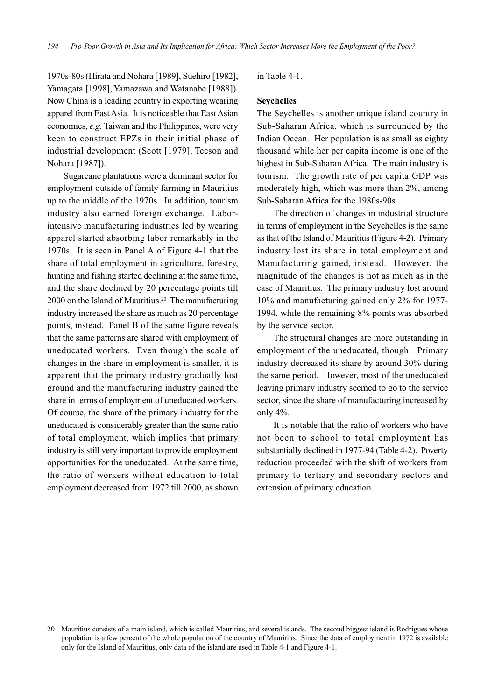1970s-80s (Hirata and Nohara [1989], Suehiro [1982], Yamagata [1998], Yamazawa and Watanabe [1988]). Now China is a leading country in exporting wearing apparel from East Asia. It is noticeable that East Asian economies, *e.g.* Taiwan and the Philippines, were very keen to construct EPZs in their initial phase of industrial development (Scott [1979], Tecson and Nohara [1987]).

Sugarcane plantations were a dominant sector for employment outside of family farming in Mauritius up to the middle of the 1970s. In addition, tourism industry also earned foreign exchange. Laborintensive manufacturing industries led by wearing apparel started absorbing labor remarkably in the 1970s. It is seen in Panel A of Figure 4-1 that the share of total employment in agriculture, forestry, hunting and fishing started declining at the same time, and the share declined by 20 percentage points till 2000 on the Island of Mauritius.<sup>20</sup> The manufacturing industry increased the share as much as 20 percentage points, instead. Panel B of the same figure reveals that the same patterns are shared with employment of uneducated workers. Even though the scale of changes in the share in employment is smaller, it is apparent that the primary industry gradually lost ground and the manufacturing industry gained the share in terms of employment of uneducated workers. Of course, the share of the primary industry for the uneducated is considerably greater than the same ratio of total employment, which implies that primary industry is still very important to provide employment opportunities for the uneducated. At the same time, the ratio of workers without education to total employment decreased from 1972 till 2000, as shown

in Table 4-1.

#### **Seychelles**

The Seychelles is another unique island country in Sub-Saharan Africa, which is surrounded by the Indian Ocean. Her population is as small as eighty thousand while her per capita income is one of the highest in Sub-Saharan Africa. The main industry is tourism. The growth rate of per capita GDP was moderately high, which was more than 2%, among Sub-Saharan Africa for the 1980s-90s.

The direction of changes in industrial structure in terms of employment in the Seychelles is the same as that of the Island of Mauritius (Figure 4-2). Primary industry lost its share in total employment and Manufacturing gained, instead. However, the magnitude of the changes is not as much as in the case of Mauritius. The primary industry lost around 10% and manufacturing gained only 2% for 1977- 1994, while the remaining 8% points was absorbed by the service sector.

The structural changes are more outstanding in employment of the uneducated, though. Primary industry decreased its share by around 30% during the same period. However, most of the uneducated leaving primary industry seemed to go to the service sector, since the share of manufacturing increased by only 4%.

It is notable that the ratio of workers who have not been to school to total employment has substantially declined in 1977-94 (Table 4-2). Poverty reduction proceeded with the shift of workers from primary to tertiary and secondary sectors and extension of primary education.

<sup>20</sup> Mauritius consists of a main island, which is called Mauritius, and several islands. The second biggest island is Rodrigues whose population is a few percent of the whole population of the country of Mauritius. Since the data of employment in 1972 is available only for the Island of Mauritius, only data of the island are used in Table 4-1 and Figure 4-1.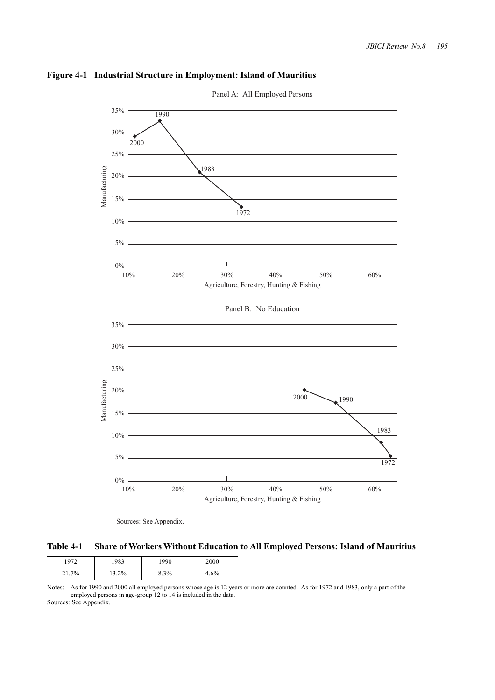



Panel A: All Employed Persons

Sources: See Appendix.

**Table 4-1 Share of Workers Without Education to All Employed Persons: Island of Mauritius**

| 072   | 1983  | 1990 | 2000 |
|-------|-------|------|------|
| $7\%$ | 13.2% | 8.3% | 4.6% |

Notes: As for 1990 and 2000 all employed persons whose age is 12 years or more are counted. As for 1972 and 1983, only a part of the employed persons in age-group 12 to 14 is included in the data. Sources: See Appendix.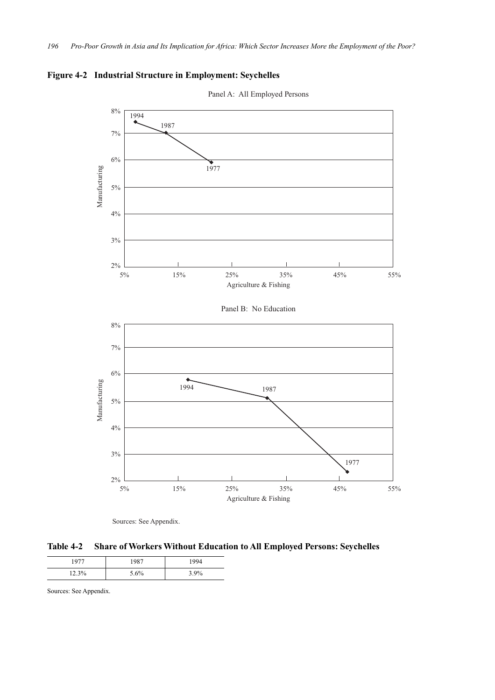

**Figure 4-2 Industrial Structure in Employment: Seychelles**



**Table 4-2 Share of Workers Without Education to All Employed Persons: Seychelles**

|       | 087  | 1004    |
|-------|------|---------|
| 12.3% | 5.6% | $3.9\%$ |

Sources: See Appendix.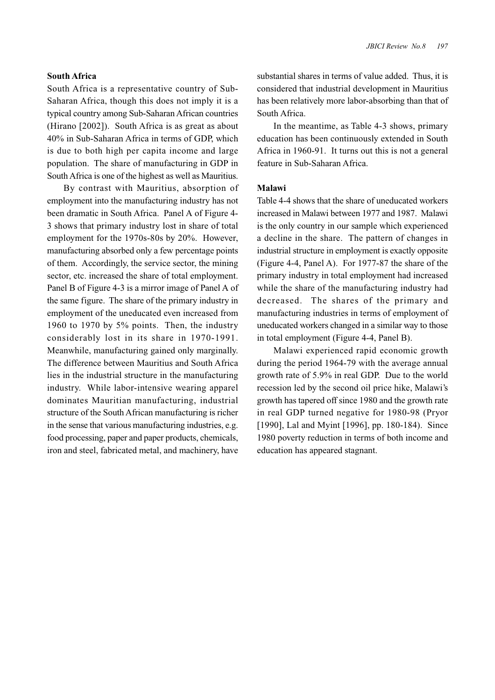### **South Africa**

South Africa is a representative country of Sub-Saharan Africa, though this does not imply it is a typical country among Sub-Saharan African countries (Hirano [2002]). South Africa is as great as about 40% in Sub-Saharan Africa in terms of GDP, which is due to both high per capita income and large population. The share of manufacturing in GDP in South Africa is one of the highest as well as Mauritius.

By contrast with Mauritius, absorption of employment into the manufacturing industry has not been dramatic in South Africa. Panel A of Figure 4- 3 shows that primary industry lost in share of total employment for the 1970s-80s by 20%. However, manufacturing absorbed only a few percentage points of them. Accordingly, the service sector, the mining sector, etc. increased the share of total employment. Panel B of Figure 4-3 is a mirror image of Panel A of the same figure. The share of the primary industry in employment of the uneducated even increased from 1960 to 1970 by 5% points. Then, the industry considerably lost in its share in 1970-1991. Meanwhile, manufacturing gained only marginally. The difference between Mauritius and South Africa lies in the industrial structure in the manufacturing industry. While labor-intensive wearing apparel dominates Mauritian manufacturing, industrial structure of the South African manufacturing is richer in the sense that various manufacturing industries, e.g. food processing, paper and paper products, chemicals, iron and steel, fabricated metal, and machinery, have

substantial shares in terms of value added. Thus, it is considered that industrial development in Mauritius has been relatively more labor-absorbing than that of South Africa.

In the meantime, as Table 4-3 shows, primary education has been continuously extended in South Africa in 1960-91. It turns out this is not a general feature in Sub-Saharan Africa.

### **Malawi**

Table 4-4 shows that the share of uneducated workers increased in Malawi between 1977 and 1987. Malawi is the only country in our sample which experienced a decline in the share. The pattern of changes in industrial structure in employment is exactly opposite (Figure 4-4, Panel A). For 1977-87 the share of the primary industry in total employment had increased while the share of the manufacturing industry had decreased. The shares of the primary and manufacturing industries in terms of employment of uneducated workers changed in a similar way to those in total employment (Figure 4-4, Panel B).

Malawi experienced rapid economic growth during the period 1964-79 with the average annual growth rate of 5.9% in real GDP. Due to the world recession led by the second oil price hike, Malawi's growth has tapered off since 1980 and the growth rate in real GDP turned negative for 1980-98 (Pryor [1990], Lal and Myint [1996], pp. 180-184). Since 1980 poverty reduction in terms of both income and education has appeared stagnant.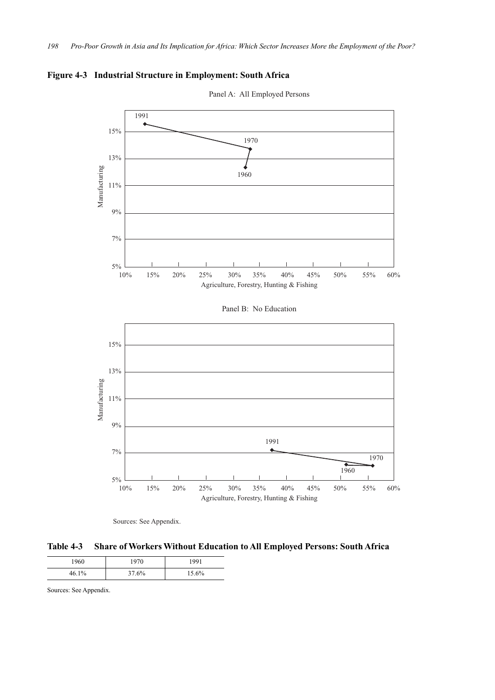

**Figure 4-3 Industrial Structure in Employment: South Africa**



Panel A: All Employed Persons

Sources: See Appendix.

**Table 4-3 Share of Workers Without Education to All Employed Persons: South Africa**

| 1960  | 1970  | 1991  |
|-------|-------|-------|
| 46.1% | 37.6% | 15.6% |

Sources: See Appendix.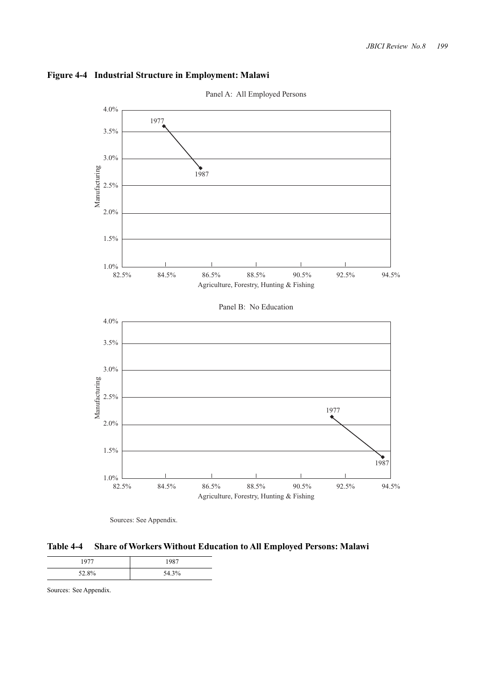





**Table 4-4 Share of Workers Without Education to All Employed Persons: Malawi**

|       | 1087  |
|-------|-------|
| 52.8% | 54.3% |

Sources: See Appendix.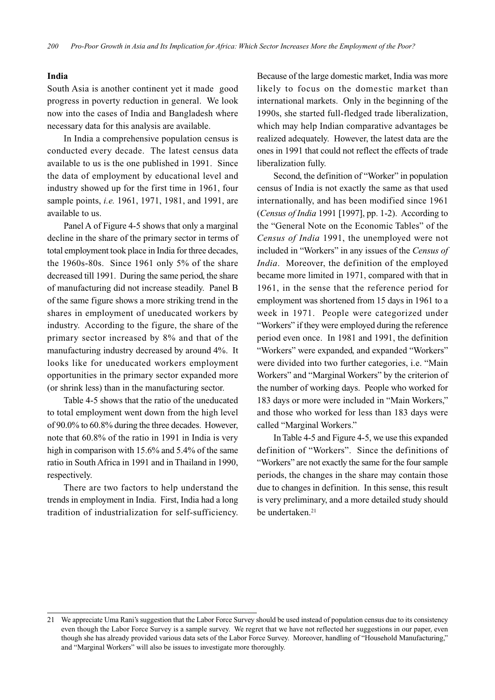#### **India**

South Asia is another continent yet it made good progress in poverty reduction in general. We look now into the cases of India and Bangladesh where necessary data for this analysis are available.

In India a comprehensive population census is conducted every decade. The latest census data available to us is the one published in 1991. Since the data of employment by educational level and industry showed up for the first time in 1961, four sample points, *i.e.* 1961, 1971, 1981, and 1991, are available to us.

Panel A of Figure 4-5 shows that only a marginal decline in the share of the primary sector in terms of total employment took place in India for three decades, the 1960s-80s. Since 1961 only 5% of the share decreased till 1991. During the same period, the share of manufacturing did not increase steadily. Panel B of the same figure shows a more striking trend in the shares in employment of uneducated workers by industry. According to the figure, the share of the primary sector increased by 8% and that of the manufacturing industry decreased by around 4%. It looks like for uneducated workers employment opportunities in the primary sector expanded more (or shrink less) than in the manufacturing sector.

Table 4-5 shows that the ratio of the uneducated to total employment went down from the high level of 90.0% to 60.8% during the three decades. However, note that 60.8% of the ratio in 1991 in India is very high in comparison with 15.6% and 5.4% of the same ratio in South Africa in 1991 and in Thailand in 1990, respectively.

There are two factors to help understand the trends in employment in India. First, India had a long tradition of industrialization for self-sufficiency. Because of the large domestic market, India was more likely to focus on the domestic market than international markets. Only in the beginning of the 1990s, she started full-fledged trade liberalization, which may help Indian comparative advantages be realized adequately. However, the latest data are the ones in 1991 that could not reflect the effects of trade liberalization fully.

Second, the definition of "Worker" in population census of India is not exactly the same as that used internationally, and has been modified since 1961 (*Census of India* 1991 [1997], pp. 1-2). According to the "General Note on the Economic Tables" of the *Census of India* 1991, the unemployed were not included in "Workers" in any issues of the *Census of India*. Moreover, the definition of the employed became more limited in 1971, compared with that in 1961, in the sense that the reference period for employment was shortened from 15 days in 1961 to a week in 1971. People were categorized under "Workers" if they were employed during the reference period even once. In 1981 and 1991, the definition "Workers" were expanded, and expanded "Workers" were divided into two further categories, i.e. "Main Workers" and "Marginal Workers" by the criterion of the number of working days. People who worked for 183 days or more were included in "Main Workers," and those who worked for less than 183 days were called "Marginal Workers."

In Table 4-5 and Figure 4-5, we use this expanded definition of "Workers". Since the definitions of "Workers" are not exactly the same for the four sample periods, the changes in the share may contain those due to changes in definition. In this sense, this result is very preliminary, and a more detailed study should be undertaken.<sup>21</sup>

<sup>21</sup> We appreciate Uma Rani's suggestion that the Labor Force Survey should be used instead of population census due to its consistency even though the Labor Force Survey is a sample survey. We regret that we have not reflected her suggestions in our paper, even though she has already provided various data sets of the Labor Force Survey. Moreover, handling of "Household Manufacturing," and "Marginal Workers" will also be issues to investigate more thoroughly.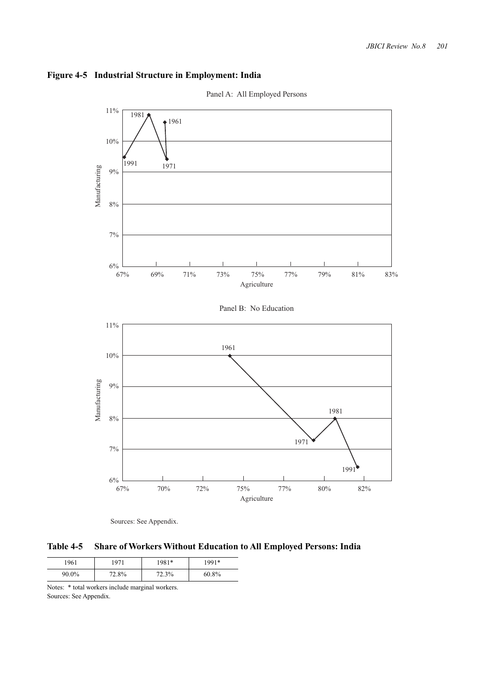

## **Figure 4-5 Industrial Structure in Employment: India**



Sources: See Appendix.

**Table 4-5 Share of Workers Without Education to All Employed Persons: India**

| 1961  | 1071  | 981*  | 991*  |
|-------|-------|-------|-------|
| 90.0% | 72.8% | 72.3% | 60.8% |

Notes: \* total workers include marginal workers. Sources: See Appendix.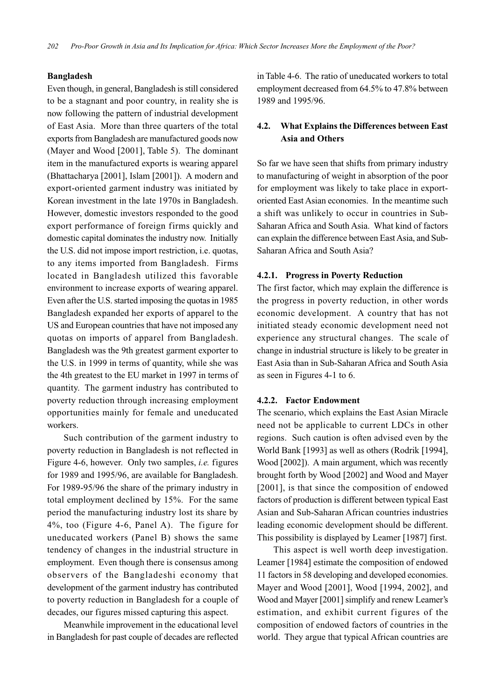#### **Bangladesh**

Even though, in general, Bangladesh is still considered to be a stagnant and poor country, in reality she is now following the pattern of industrial development of East Asia. More than three quarters of the total exports from Bangladesh are manufactured goods now (Mayer and Wood [2001], Table 5). The dominant item in the manufactured exports is wearing apparel (Bhattacharya [2001], Islam [2001]). A modern and export-oriented garment industry was initiated by Korean investment in the late 1970s in Bangladesh. However, domestic investors responded to the good export performance of foreign firms quickly and domestic capital dominates the industry now. Initially the U.S. did not impose import restriction, i.e. quotas, to any items imported from Bangladesh. Firms located in Bangladesh utilized this favorable environment to increase exports of wearing apparel. Even after the U.S. started imposing the quotas in 1985 Bangladesh expanded her exports of apparel to the US and European countries that have not imposed any quotas on imports of apparel from Bangladesh. Bangladesh was the 9th greatest garment exporter to the U.S. in 1999 in terms of quantity, while she was the 4th greatest to the EU market in 1997 in terms of quantity. The garment industry has contributed to poverty reduction through increasing employment opportunities mainly for female and uneducated workers.

Such contribution of the garment industry to poverty reduction in Bangladesh is not reflected in Figure 4-6, however. Only two samples, *i.e.* figures for 1989 and 1995/96, are available for Bangladesh. For 1989-95/96 the share of the primary industry in total employment declined by 15%. For the same period the manufacturing industry lost its share by 4%, too (Figure 4-6, Panel A). The figure for uneducated workers (Panel B) shows the same tendency of changes in the industrial structure in employment. Even though there is consensus among observers of the Bangladeshi economy that development of the garment industry has contributed to poverty reduction in Bangladesh for a couple of decades, our figures missed capturing this aspect.

Meanwhile improvement in the educational level in Bangladesh for past couple of decades are reflected in Table 4-6. The ratio of uneducated workers to total employment decreased from 64.5% to 47.8% between 1989 and 1995/96.

# **4.2. What Explains the Differences between East Asia and Others**

So far we have seen that shifts from primary industry to manufacturing of weight in absorption of the poor for employment was likely to take place in exportoriented East Asian economies. In the meantime such a shift was unlikely to occur in countries in Sub-Saharan Africa and South Asia. What kind of factors can explain the difference between East Asia, and Sub-Saharan Africa and South Asia?

#### **4.2.1. Progress in Poverty Reduction**

The first factor, which may explain the difference is the progress in poverty reduction, in other words economic development. A country that has not initiated steady economic development need not experience any structural changes. The scale of change in industrial structure is likely to be greater in East Asia than in Sub-Saharan Africa and South Asia as seen in Figures 4-1 to 6.

#### **4.2.2. Factor Endowment**

The scenario, which explains the East Asian Miracle need not be applicable to current LDCs in other regions. Such caution is often advised even by the World Bank [1993] as well as others (Rodrik [1994], Wood [2002]). A main argument, which was recently brought forth by Wood [2002] and Wood and Mayer [2001], is that since the composition of endowed factors of production is different between typical East Asian and Sub-Saharan African countries industries leading economic development should be different. This possibility is displayed by Leamer [1987] first.

This aspect is well worth deep investigation. Leamer [1984] estimate the composition of endowed 11 factors in 58 developing and developed economies. Mayer and Wood [2001], Wood [1994, 2002], and Wood and Mayer [2001] simplify and renew Leamer's estimation, and exhibit current figures of the composition of endowed factors of countries in the world. They argue that typical African countries are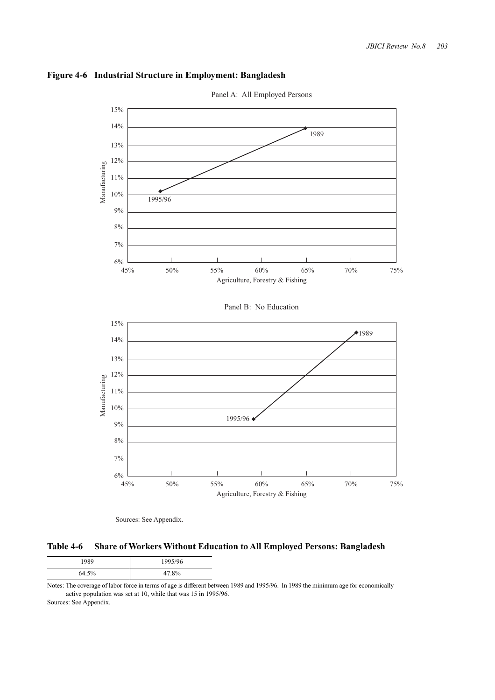



Sources: See Appendix.

**Table 4-6 Share of Workers Without Education to All Employed Persons: Bangladesh**

| 1989  | 1995/96 |  |
|-------|---------|--|
| 64.5% | 47.8%   |  |

Notes: The coverage of labor force in terms of age is different between 1989 and 1995/96. In 1989 the minimum age for economically active population was set at 10, while that was 15 in 1995/96. Sources: See Appendix.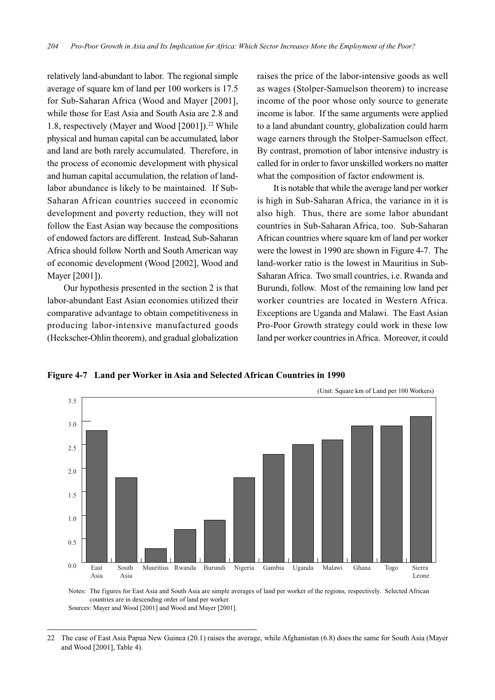relatively land-abundant to labor. The regional simple average of square km of land per 100 workers is 17.5 for Sub-Saharan Africa (Wood and Mayer [2001], while those for East Asia and South Asia are 2.8 and 1.8, respectively (Mayer and Wood [2001]).<sup>22</sup> While physical and human capital can be accumulated, labor and land are both rarely accumulated. Therefore, in the process of economic development with physical and human capital accumulation, the relation of landlabor abundance is likely to be maintained. If Sub-Saharan African countries succeed in economic development and poverty reduction, they will not follow the East Asian way because the compositions of endowed factors are different. Instead, Sub-Saharan Africa should follow North and South American way of economic development (Wood [2002], Wood and Mayer [2001]).

Our hypothesis presented in the section 2 is that labor-abundant East Asian economies utilized their comparative advantage to obtain competitiveness in producing labor-intensive manufactured goods (Heckscher-Ohlin theorem), and gradual globalization raises the price of the labor-intensive goods as well as wages (Stolper-Samuelson theorem) to increase income of the poor whose only source to generate income is labor. If the same arguments were applied to a land abundant country, globalization could harm wage earners through the Stolper-Samuelson effect. By contrast, promotion of labor intensive industry is called for in order to favor unskilled workers no matter what the composition of factor endowment is.

It is notable that while the average land per worker is high in Sub-Saharan Africa, the variance in it is also high. Thus, there are some labor abundant countries in Sub-Saharan Africa, too. Sub-Saharan African countries where square km of land per worker were the lowest in 1990 are shown in Figure 4-7. The land-worker ratio is the lowest in Mauritius in Sub-Saharan Africa. Two small countries, i.e. Rwanda and Burundi, follow. Most of the remaining low land per worker countries are located in Western Africa. Exceptions are Uganda and Malawi. The East Asian Pro-Poor Growth strategy could work in these low land per worker countries in Africa. Moreover, it could

**Figure 4-7 Land per Worker in Asia and Selected African Countries in 1990**



Notes: The figures for East Asia and South Asia are simple averages of land per worker of the regions, respectively. Selected African countries are in descending order of land per worker. Sources: Mayer and Wood [2001] and Wood and Mayer [2001].

<sup>22</sup> The case of East Asia Papua New Guinea (20.1) raises the average, while Afghanistan (6.8) does the same for South Asia (Mayer and Wood [2001], Table 4).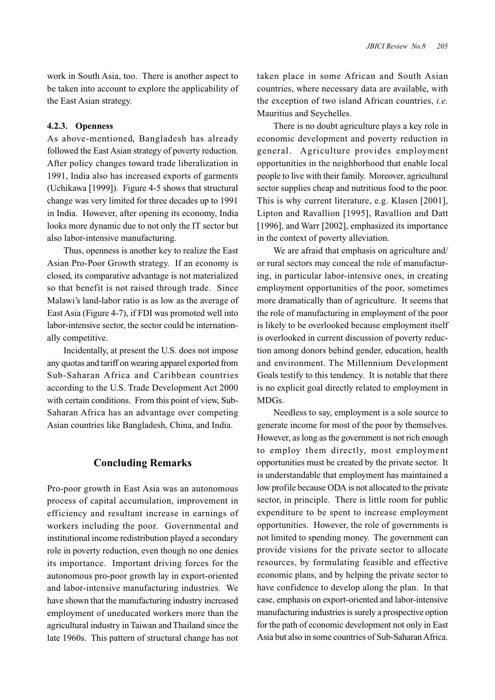work in South Asia, too. There is another aspect to be taken into account to explore the applicability of the East Asian strategy.

#### **4.2.3. Openness**

As above-mentioned, Bangladesh has already followed the East Asian strategy of poverty reduction. After policy changes toward trade liberalization in 1991, India also has increased exports of garments (Uchikawa [1999]). Figure 4-5 shows that structural change was very limited for three decades up to 1991 in India. However, after opening its economy, India looks more dynamic due to not only the IT sector but also labor-intensive manufacturing.

Thus, openness is another key to realize the East Asian Pro-Poor Growth strategy. If an economy is closed, its comparative advantage is not materialized so that benefit is not raised through trade. Since Malawi's land-labor ratio is as low as the average of East Asia (Figure 4-7), if FDI was promoted well into labor-intensive sector, the sector could be internationally competitive.

Incidentally, at present the U.S. does not impose any quotas and tariff on wearing apparel exported from Sub-Saharan Africa and Caribbean countries according to the U.S. Trade Development Act 2000 with certain conditions. From this point of view, Sub-Saharan Africa has an advantage over competing Asian countries like Bangladesh, China, and India.

# **Concluding Remarks**

Pro-poor growth in East Asia was an autonomous process of capital accumulation, improvement in efficiency and resultant increase in earnings of workers including the poor. Governmental and institutional income redistribution played a secondary role in poverty reduction, even though no one denies its importance. Important driving forces for the autonomous pro-poor growth lay in export-oriented and labor-intensive manufacturing industries. We have shown that the manufacturing industry increased employment of uneducated workers more than the agricultural industry in Taiwan and Thailand since the late 1960s. This pattern of structural change has not taken place in some African and South Asian countries, where necessary data are available, with the exception of two island African countries, *i.e.* Mauritius and Seychelles.

There is no doubt agriculture plays a key role in economic development and poverty reduction in general. Agriculture provides employment opportunities in the neighborhood that enable local people to live with their family. Moreover, agricultural sector supplies cheap and nutritious food to the poor. This is why current literature, e.g. Klasen [2001], Lipton and Ravallion [1995], Ravallion and Datt [1996], and Warr [2002], emphasized its importance in the context of poverty alleviation.

We are afraid that emphasis on agriculture and/ or rural sectors may conceal the role of manufacturing, in particular labor-intensive ones, in creating employment opportunities of the poor, sometimes more dramatically than of agriculture. It seems that the role of manufacturing in employment of the poor is likely to be overlooked because employment itself is overlooked in current discussion of poverty reduction among donors behind gender, education, health and environment. The Millennium Development Goals testify to this tendency. It is notable that there is no explicit goal directly related to employment in MDGs.

Needless to say, employment is a sole source to generate income for most of the poor by themselves. However, as long as the government is not rich enough to employ them directly, most employment opportunities must be created by the private sector. It is understandable that employment has maintained a low profile because ODA is not allocated to the private sector, in principle. There is little room for public expenditure to be spent to increase employment opportunities. However, the role of governments is not limited to spending money. The government can provide visions for the private sector to allocate resources, by formulating feasible and effective economic plans, and by helping the private sector to have confidence to develop along the plan. In that case, emphasis on export-oriented and labor-intensive manufacturing industries is surely a prospective option for the path of economic development not only in East Asia but also in some countries of Sub-Saharan Africa.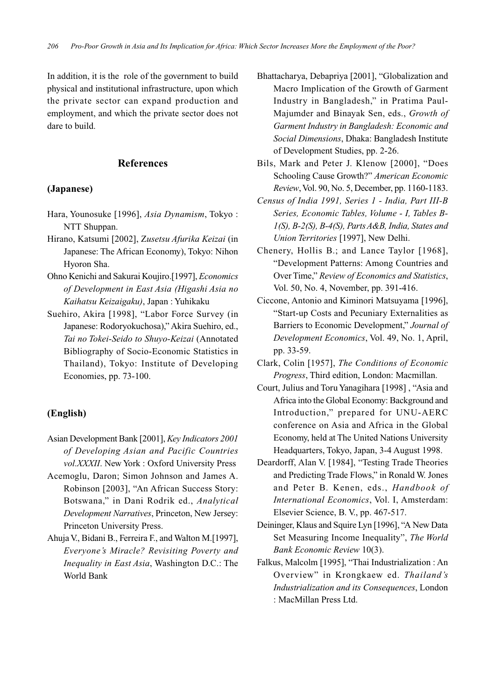In addition, it is the role of the government to build physical and institutional infrastructure, upon which the private sector can expand production and employment, and which the private sector does not dare to build.

### **References**

### **(Japanese)**

- Hara, Younosuke [1996], *Asia Dynamism*, Tokyo : NTT Shuppan.
- Hirano, Katsumi [2002], Z*usetsu Afurika Keizai* (in Japanese: The African Economy), Tokyo: Nihon Hyoron Sha.
- Ohno Kenichi and Sakurai Koujiro.[1997], *Economics of Development in East Asia (Higashi Asia no Kaihatsu Keizaigaku)*, Japan : Yuhikaku
- Suehiro, Akira [1998], "Labor Force Survey (in Japanese: Rodoryokuchosa)," Akira Suehiro, ed., *Tai no Tokei-Seido to Shuyo-Keizai* (Annotated Bibliography of Socio-Economic Statistics in Thailand), Tokyo: Institute of Developing Economies, pp. 73-100.

# **(English)**

- Asian Development Bank [2001], *Key Indicators 2001 of Developing Asian and Pacific Countries vol.XXXII*. New York : Oxford University Press
- Acemoglu, Daron; Simon Johnson and James A. Robinson [2003], "An African Success Story: Botswana," in Dani Rodrik ed., *Analytical Development Narratives*, Princeton, New Jersey: Princeton University Press.
- Ahuja V., Bidani B., Ferreira F., and Walton M.[1997], *Everyone's Miracle? Revisiting Poverty and Inequality in East Asia*, Washington D.C.: The World Bank
- Bhattacharya, Debapriya [2001], "Globalization and Macro Implication of the Growth of Garment Industry in Bangladesh," in Pratima Paul-Majumder and Binayak Sen, eds., *Growth of Garment Industry in Bangladesh: Economic and Social Dimensions*, Dhaka: Bangladesh Institute of Development Studies, pp. 2-26.
- Bils, Mark and Peter J. Klenow [2000], "Does Schooling Cause Growth?" *American Economic Review*, Vol. 90, No. 5, December, pp. 1160-1183.
- *Census of India 1991, Series 1 India, Part III-B Series, Economic Tables, Volume - I, Tables B-1(S), B-2(S), B-4(S), Parts A&B, India, States and Union Territories* [1997], New Delhi.
- Chenery, Hollis B.; and Lance Taylor [1968], "Development Patterns: Among Countries and Over Time," *Review of Economics and Statistics*, Vol. 50, No. 4, November, pp. 391-416.
- Ciccone, Antonio and Kiminori Matsuyama [1996], "Start-up Costs and Pecuniary Externalities as Barriers to Economic Development," *Journal of Development Economics*, Vol. 49, No. 1, April, pp. 33-59.
- Clark, Colin [1957], *The Conditions of Economic Progress*, Third edition, London: Macmillan.
- Court, Julius and Toru Yanagihara [1998] , "Asia and Africa into the Global Economy: Background and Introduction," prepared for UNU-AERC conference on Asia and Africa in the Global Economy, held at The United Nations University Headquarters, Tokyo, Japan, 3-4 August 1998.
- Deardorff, Alan V. [1984], "Testing Trade Theories and Predicting Trade Flows," in Ronald W. Jones and Peter B. Kenen, eds., *Handbook of International Economics*, Vol. I, Amsterdam: Elsevier Science, B. V., pp. 467-517.
- Deininger, Klaus and Squire Lyn [1996], "A New Data Set Measuring Income Inequality", *The World Bank Economic Review* 10(3).
- Falkus, Malcolm [1995], "Thai Industrialization : An Overview" in Krongkaew ed. *Thailand's Industrialization and its Consequences*, London : MacMillan Press Ltd.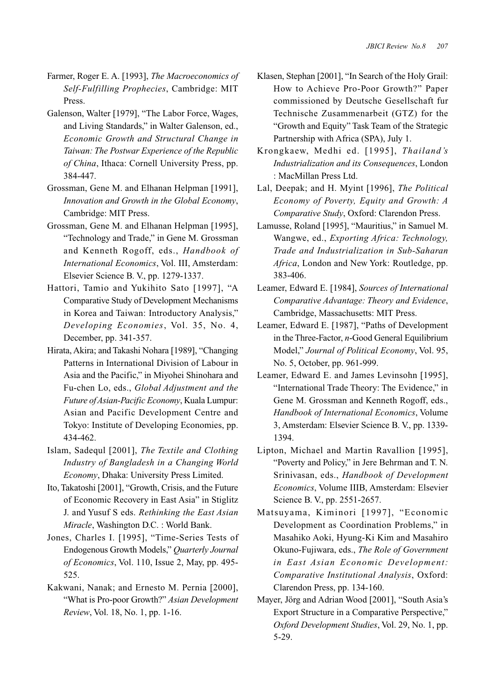- Farmer, Roger E. A. [1993], *The Macroeconomics of Self-Fulfilling Prophecies*, Cambridge: MIT Press.
- Galenson, Walter [1979], "The Labor Force, Wages, and Living Standards," in Walter Galenson, ed., *Economic Growth and Structural Change in Taiwan: The Postwar Experience of the Republic of China*, Ithaca: Cornell University Press, pp. 384-447.
- Grossman, Gene M. and Elhanan Helpman [1991], *Innovation and Growth in the Global Economy*, Cambridge: MIT Press.
- Grossman, Gene M. and Elhanan Helpman [1995], "Technology and Trade," in Gene M. Grossman and Kenneth Rogoff, eds., *Handbook of International Economics*, Vol. III, Amsterdam: Elsevier Science B. V., pp. 1279-1337.
- Hattori, Tamio and Yukihito Sato [1997], "A Comparative Study of Development Mechanisms in Korea and Taiwan: Introductory Analysis," *Developing Economies*, Vol. 35, No. 4, December, pp. 341-357.
- Hirata, Akira; and Takashi Nohara [1989], "Changing Patterns in International Division of Labour in Asia and the Pacific," in Miyohei Shinohara and Fu-chen Lo, eds., *Global Adjustment and the Future of Asian-Pacific Economy*, Kuala Lumpur: Asian and Pacific Development Centre and Tokyo: Institute of Developing Economies, pp. 434-462.
- Islam, Sadequl [2001], *The Textile and Clothing Industry of Bangladesh in a Changing World Economy*, Dhaka: University Press Limited.
- Ito, Takatoshi [2001], "Growth, Crisis, and the Future of Economic Recovery in East Asia" in Stiglitz J. and Yusuf S eds. *Rethinking the East Asian Miracle*, Washington D.C. : World Bank.
- Jones, Charles I. [1995], "Time-Series Tests of Endogenous Growth Models," *Quarterly Journal of Economics*, Vol. 110, Issue 2, May, pp. 495- 525.
- Kakwani, Nanak; and Ernesto M. Pernia [2000], "What is Pro-poor Growth?" *Asian Development Review*, Vol. 18, No. 1, pp. 1-16.
- Klasen, Stephan [2001], "In Search of the Holy Grail: How to Achieve Pro-Poor Growth?" Paper commissioned by Deutsche Gesellschaft fur Technische Zusammenarbeit (GTZ) for the "Growth and Equity" Task Team of the Strategic Partnership with Africa (SPA), July 1.
- Krongkaew, Medhi ed. [1995], *Thailand's Industrialization and its Consequences*, London : MacMillan Press Ltd.
- Lal, Deepak; and H. Myint [1996], *The Political Economy of Poverty, Equity and Growth: A Comparative Study*, Oxford: Clarendon Press.
- Lamusse, Roland [1995], "Mauritius," in Samuel M. Wangwe, ed., *Exporting Africa: Technology, Trade and Industrialization in Sub-Saharan Africa*, London and New York: Routledge, pp. 383-406.
- Leamer, Edward E. [1984], *Sources of International Comparative Advantage: Theory and Evidence*, Cambridge, Massachusetts: MIT Press.
- Leamer, Edward E. [1987], "Paths of Development in the Three-Factor, *n*-Good General Equilibrium Model," *Journal of Political Economy*, Vol. 95, No. 5, October, pp. 961-999.
- Leamer, Edward E. and James Levinsohn [1995], "International Trade Theory: The Evidence," in Gene M. Grossman and Kenneth Rogoff, eds., *Handbook of International Economics*, Volume 3, Amsterdam: Elsevier Science B. V., pp. 1339- 1394.
- Lipton, Michael and Martin Ravallion [1995], "Poverty and Policy," in Jere Behrman and T. N. Srinivasan, eds., *Handbook of Development Economics*, Volume IIIB, Amsterdam: Elsevier Science B. V., pp. 2551-2657.
- Matsuyama, Kiminori [1997], "Economic Development as Coordination Problems," in Masahiko Aoki, Hyung-Ki Kim and Masahiro Okuno-Fujiwara, eds., *The Role of Government in East Asian Economic Development: Comparative Institutional Analysis*, Oxford: Clarendon Press, pp. 134-160.
- Mayer, Jörg and Adrian Wood [2001], "South Asia's Export Structure in a Comparative Perspective," *Oxford Development Studies*, Vol. 29, No. 1, pp. 5-29.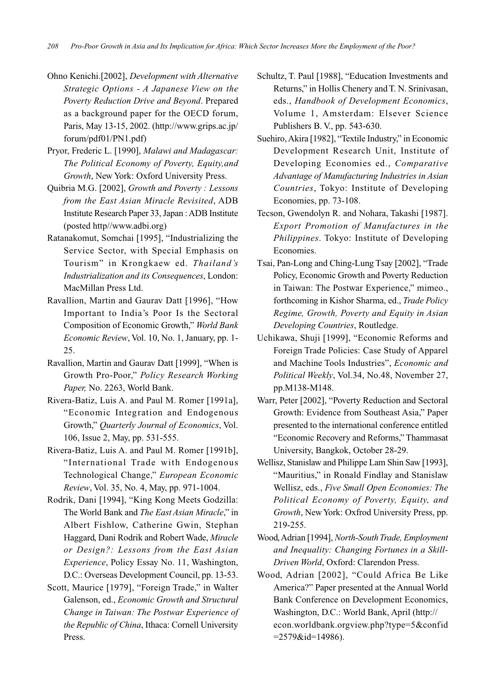- Ohno Kenichi.[2002], *Development with Alternative Strategic Options - A Japanese View on the Poverty Reduction Drive and Beyond*. Prepared as a background paper for the OECD forum, Paris, May 13-15, 2002. (http://www.grips.ac.jp/ forum/pdf01/PN1.pdf)
- Pryor, Frederic L. [1990], *Malawi and Madagascar: The Political Economy of Poverty, Equity,and Growth*, New York: Oxford University Press.
- Quibria M.G. [2002], *Growth and Poverty : Lessons from the East Asian Miracle Revisited*, ADB Institute Research Paper 33, Japan : ADB Institute (posted http//www.adbi.org)
- Ratanakomut, Somchai [1995], "Industrializing the Service Sector, with Special Emphasis on Tourism" in Krongkaew ed. *Thailand's Industrialization and its Consequences*, London: MacMillan Press Ltd.
- Ravallion, Martin and Gaurav Datt [1996], "How Important to India's Poor Is the Sectoral Composition of Economic Growth," *World Bank Economic Review*, Vol. 10, No. 1, January, pp. 1- 25.
- Ravallion, Martin and Gaurav Datt [1999], "When is Growth Pro-Poor," *Policy Research Working Paper,* No. 2263, World Bank.
- Rivera-Batiz, Luis A. and Paul M. Romer [1991a], "Economic Integration and Endogenous Growth," *Quarterly Journal of Economics*, Vol. 106, Issue 2, May, pp. 531-555.
- Rivera-Batiz, Luis A. and Paul M. Romer [1991b], "International Trade with Endogenous Technological Change," *European Economic Review*, Vol. 35, No. 4, May, pp. 971-1004.
- Rodrik, Dani [1994], "King Kong Meets Godzilla: The World Bank and *The East Asian Miracle*," in Albert Fishlow, Catherine Gwin, Stephan Haggard, Dani Rodrik and Robert Wade, *Miracle or Design?: Lessons from the East Asian Experience*, Policy Essay No. 11, Washington, D.C.: Overseas Development Council, pp. 13-53.
- Scott, Maurice [1979], "Foreign Trade," in Walter Galenson, ed., *Economic Growth and Structural Change in Taiwan: The Postwar Experience of the Republic of China*, Ithaca: Cornell University Press.
- Schultz, T. Paul [1988], "Education Investments and Returns," in Hollis Chenery and T. N. Srinivasan, eds., *Handbook of Development Economics*, Volume 1, Amsterdam: Elsever Science Publishers B. V., pp. 543-630.
- Suehiro, Akira [1982], "Textile Industry," in Economic Development Research Unit, Institute of Developing Economies ed., *Comparative Advantage of Manufacturing Industries in Asian Countries*, Tokyo: Institute of Developing Economies, pp. 73-108.
- Tecson, Gwendolyn R. and Nohara, Takashi [1987]. *Export Promotion of Manufactures in the Philippines*. Tokyo: Institute of Developing Economies.
- Tsai, Pan-Long and Ching-Lung Tsay [2002], "Trade Policy, Economic Growth and Poverty Reduction in Taiwan: The Postwar Experience," mimeo., forthcoming in Kishor Sharma, ed., *Trade Policy Regime, Growth, Poverty and Equity in Asian Developing Countries*, Routledge.
- Uchikawa, Shuji [1999], "Economic Reforms and Foreign Trade Policies: Case Study of Apparel and Machine Tools Industries", *Economic and Political Weekly*, Vol.34, No.48, November 27, pp.M138-M148.
- Warr, Peter [2002], "Poverty Reduction and Sectoral Growth: Evidence from Southeast Asia," Paper presented to the international conference entitled "Economic Recovery and Reforms," Thammasat University, Bangkok, October 28-29.
- Wellisz, Stanislaw and Philippe Lam Shin Saw [1993], "Mauritius," in Ronald Findlay and Stanislaw Wellisz, eds., *Five Small Open Economies: The Political Economy of Poverty, Equity, and Growth*, New York: Oxfrod University Press, pp. 219-255.
- Wood, Adrian [1994], *North-South Trade, Employment and Inequality: Changing Fortunes in a Skill-Driven World*, Oxford: Clarendon Press.
- Wood, Adrian [2002], "Could Africa Be Like America?" Paper presented at the Annual World Bank Conference on Development Economics, Washington, D.C.: World Bank, April (http:// econ.worldbank.orgview.php?type=5&confid  $=2579$ &id=14986).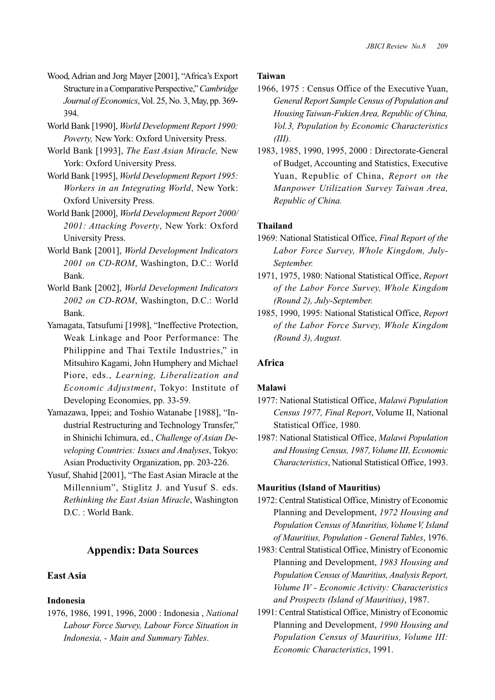- Wood, Adrian and Jorg Mayer [2001], "Africa's Export Structure in a Comparative Perspective," *Cambridge Journal of Economics*, Vol. 25, No. 3, May, pp. 369- 394.
- World Bank [1990], *World Development Report 1990: Poverty,* New York: Oxford University Press.
- World Bank [1993], *The East Asian Miracle,* New York: Oxford University Press.
- World Bank [1995], *World Development Report 1995: Workers in an Integrating World*, New York: Oxford University Press.
- World Bank [2000], *World Development Report 2000/ 2001: Attacking Poverty*, New York: Oxford University Press.
- World Bank [2001], *World Development Indicators 2001 on CD-ROM*, Washington, D.C.: World Bank.
- World Bank [2002], *World Development Indicators 2002 on CD-ROM*, Washington, D.C.: World Bank.
- Yamagata, Tatsufumi [1998], "Ineffective Protection, Weak Linkage and Poor Performance: The Philippine and Thai Textile Industries," in Mitsuhiro Kagami, John Humphery and Michael Piore, eds., *Learning, Liberalization and Economic Adjustment*, Tokyo: Institute of Developing Economies, pp. 33-59.
- Yamazawa, Ippei; and Toshio Watanabe [1988], "Industrial Restructuring and Technology Transfer," in Shinichi Ichimura, ed., *Challenge of Asian Developing Countries: Issues and Analyses*, Tokyo: Asian Productivity Organization, pp. 203-226.
- Yusuf, Shahid [2001], "The East Asian Miracle at the Millennium", Stiglitz J. and Yusuf S. eds. *Rethinking the East Asian Miracle*, Washington D.C. : World Bank.

## **Appendix: Data Sources**

## **East Asia**

#### **Indonesia**

1976, 1986, 1991, 1996, 2000 : Indonesia , *National Labour Force Survey, Labour Force Situation in Indonesia, - Main and Summary Tables*.

#### **Taiwan**

- 1966, 1975 : Census Office of the Executive Yuan, *General Report Sample Census of Population and Housing Taiwan-Fukien Area, Republic of China, Vol.3, Population by Economic Characteristics (III).*
- 1983, 1985, 1990, 1995, 2000 : Directorate-General of Budget, Accounting and Statistics, Executive Yuan, Republic of China, *Report on the Manpower Utilization Survey Taiwan Area, Republic of China.*

### **Thailand**

- 1969: National Statistical Office, *Final Report of the Labor Force Survey, Whole Kingdom, July-September.*
- 1971, 1975, 1980: National Statistical Office, *Report of the Labor Force Survey, Whole Kingdom (Round 2), July-September.*
- 1985, 1990, 1995: National Statistical Office, *Report of the Labor Force Survey, Whole Kingdom (Round 3), August.*

### **Africa**

#### **Malawi**

- 1977: National Statistical Office, *Malawi Population Census 1977, Final Report*, Volume II, National Statistical Office, 1980.
- 1987: National Statistical Office, *Malawi Population and Housing Census, 1987, Volume III, Economic Characteristics*, National Statistical Office, 1993.

#### **Mauritius (Island of Mauritius)**

- 1972: Central Statistical Office, Ministry of Economic Planning and Development, *1972 Housing and Population Census of Mauritius, Volume V, Island of Mauritius, Population - General Tables*, 1976.
- 1983: Central Statistical Office, Ministry of Economic Planning and Development, *1983 Housing and Population Census of Mauritius, Analysis Report, Volume IV - Economic Activity: Characteristics and Prospects (Island of Mauritius)*, 1987.
- 1991: Central Statistical Office, Ministry of Economic Planning and Development, *1990 Housing and Population Census of Mauritius, Volume III: Economic Characteristics*, 1991.